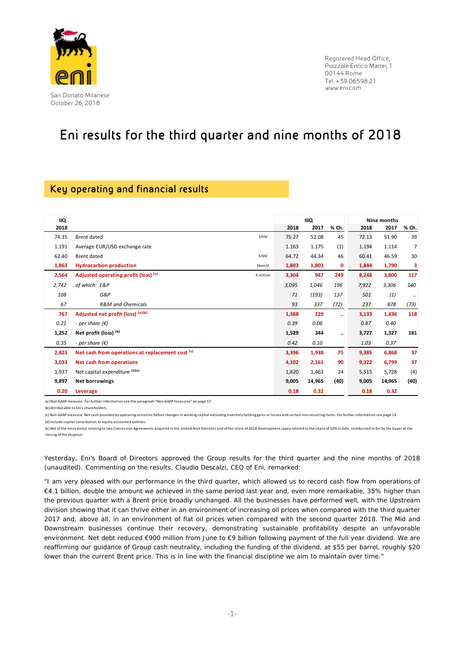

Registered Head Office, Piazzale Enrico Mattei, 1 00144 Rome Tel. +39 06598.21 www.eni.com

# Eni results for the third quarter and nine months of 2018

## Key operating and financial results

| <b>IIQ</b> |                                                   |       | <b>IIIQ</b> |                      |       | Nine months |                |
|------------|---------------------------------------------------|-------|-------------|----------------------|-------|-------------|----------------|
| 2018       |                                                   | 2018  | 2017        | % Ch.                | 2018  | 2017        | % Ch.          |
| 74.35      | <b>Brent dated</b><br>\$/bbl                      | 75.27 | 52.08       | 45                   | 72.13 | 51.90       | 39             |
| 1.191      | Average EUR/USD exchange rate                     | 1.163 | 1.175       | (1)                  | 1.194 | 1.114       | $\overline{7}$ |
| 62.40      | <b>Brent dated</b><br>€/bbl                       |       | 44.34       | 46                   | 60.41 | 46.59       | 30             |
| 1,863      | <b>Hydrocarbon production</b><br>kboe/d           |       | 1,803       | $\mathbf{0}$         | 1,844 | 1,790       | 3              |
| 2,564      | Adjusted operating profit (loss) (a)<br>€ million | 3,304 | 947         | 249                  | 8,248 | 3,800       | 117            |
| 2,742      | of which: E&P                                     | 3,095 | 1,046       | 196                  | 7,922 | 3,306       | 140            |
| 108        | G&P                                               | 71    | (193)       | 137                  | 501   | (1)         | $\ldots$       |
| 67         | <b>R&amp;M</b> and Chemicals                      | 93    | 337         | (72)                 | 237   | 878         | (73)           |
| 767        | Adjusted net profit (loss) (a)(b)                 | 1,388 | 229         | $\ddot{\phantom{1}}$ | 3,133 | 1,436       | 118            |
| 0.21       | - per share $(\epsilon)$                          | 0.39  | 0.06        |                      | 0.87  | 0.40        |                |
| 1,252      | Net profit (loss) (b)                             | 1,529 | 344         | $\ddotsc$            | 3,727 | 1,327       | 181            |
| 0.35       | - per share $(\epsilon)$                          | 0.42  | 0.10        |                      | 1.03  | 0.37        |                |
| 2,823      | Net cash from operations at replacement cost (c)  | 3,396 | 1,938       | 75                   | 9,385 | 6,868       | 37             |
| 3,033      | Net cash from operations                          | 4,102 | 2,161       | 90                   | 9,322 | 6,799       | 37             |
| 1,937      | Net capital expenditure (d)(e)                    | 1,820 | 1,463       | 24                   | 5,515 | 5,728       | (4)            |
| 9,897      | <b>Net borrowings</b>                             | 9,005 | 14,965      | (40)                 | 9,005 | 14,965      | (40)           |
| 0.20       | Leverage                                          | 0.18  | 0.32        |                      | 0.18  | 0.32        |                |

(a)Non‐GAAP measure. For further information see the paragraph "Non‐GAAP measures" on page 17.

(b) Attributable to Eni's shareholders.

(c)Non‐GAAP measure. Net cash provided by operating activities before changes in working capital excluding inventory holding gains or losses and certain non‐recurring items. For further information see page 13.

(d) Include capital contribution to equity accounted entities.

(e) Net of the entry bonus relating to two Concession Agreements acquired in the United Arab Emirates and of the share of 2018 development capex related to the share of 10% in Zohr, reimbursed to Eni by the buyer at the closing of the disposal.

Yesterday, Eni's Board of Directors approved the Group results for the third quarter and the nine months of 2018 (unaudited). Commenting on the results, Claudio Descalzi, CEO of Eni, remarked:

"*I am very pleased with our performance in the third quarter, which allowed us to record cash flow from operations of €4.1 billion, double the amount we achieved in the same period last year and, even more remarkable, 35% higher than the previous quarter with a Brent price broadly unchanged. All the businesses have performed well, with the Upstream division showing that it can thrive either in an environment of increasing oil prices when compared with the third quarter 2017 and, above all, in an environment of flat oil prices when compared with the second quarter 2018. The Mid and Downstream businesses continue their recovery, demonstrating sustainable profitability despite an unfavorable environment. Net debt reduced €900 million from June to €9 billion following payment of the full year dividend. We are reaffirming our guidance of Group cash neutrality, including the funding of the dividend, at \$55 per barrel, roughly \$20 lower than the current Brent price. This is in line with the financial discipline we aim to maintain over time."*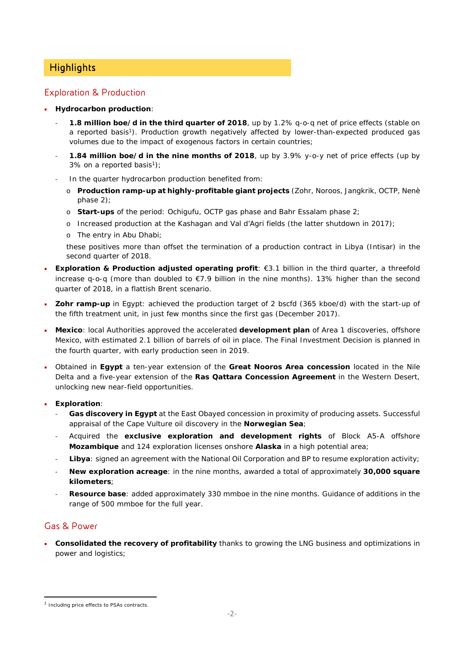## **Highlights**

### Exploration & Production

- **Hydrocarbon production**:
	- ‐ **1.8 million boe/d in the third quarter of 2018**, up by 1.2% q-o-q net of price effects (stable on a reported basis<sup>1</sup>). Production growth negatively affected by lower-than-expected produced gas volumes due to the impact of exogenous factors in certain countries;
	- ‐ **1.84 million boe/d in the nine months of 2018**, up by 3.9% y-o-y net of price effects (up by 3% on a reported basis<sup>1</sup>);
	- In the quarter hydrocarbon production benefited from:
		- o **Production ramp-up at highly-profitable giant projects** (Zohr, Noroos, Jangkrik, OCTP, Nenè phase 2);
		- o **Start-ups** of the period: Ochigufu, OCTP gas phase and Bahr Essalam phase 2;
		- o Increased production at the Kashagan and Val d'Agri fields (the latter shutdown in 2017);
		- o The entry in Abu Dhabi;

these positives more than offset the termination of a production contract in Libya (Intisar) in the second quarter of 2018.

- **Exploration & Production adjusted operating profit**: €3.1 billion in the third quarter, a threefold increase q-o-q (more than doubled to €7.9 billion in the nine months). 13% higher than the second quarter of 2018, in a flattish Brent scenario.
- **Zohr ramp-up** in Egypt: achieved the production target of 2 bscfd (365 kboe/d) with the start-up of the fifth treatment unit, in just few months since the first gas (December 2017).
- **Mexico**: local Authorities approved the accelerated **development plan** of Area 1 discoveries, offshore Mexico, with estimated 2.1 billion of barrels of oil in place. The Final Investment Decision is planned in the fourth quarter, with early production seen in 2019.
- Obtained in **Egypt** a ten-year extension of the **Great Nooros Area concession** located in the Nile Delta and a five-year extension of the **Ras Qattara Concession Agreement** in the Western Desert, unlocking new near-field opportunities.
- **Exploration**:
	- Gas discovery in Egypt at the East Obayed concession in proximity of producing assets. Successful appraisal of the Cape Vulture oil discovery in the **Norwegian Sea**;
	- ‐ Acquired the **exclusive exploration and development rights** of Block A5-A offshore **Mozambique** and 124 exploration licenses onshore **Alaska** in a high potential area;
	- ‐ **Libya**: signed an agreement with the National Oil Corporation and BP to resume exploration activity;
	- ‐ **New exploration acreage**: in the nine months, awarded a total of approximately **30,000 square kilometers**;
	- ‐ **Resource base**: added approximately 330 mmboe in the nine months. Guidance of additions in the range of 500 mmboe for the full year.

## Gas & Power

 **Consolidated the recovery of profitability** thanks to growing the LNG business and optimizations in power and logistics;

 <sup>1</sup> Including price effects to PSAs contracts.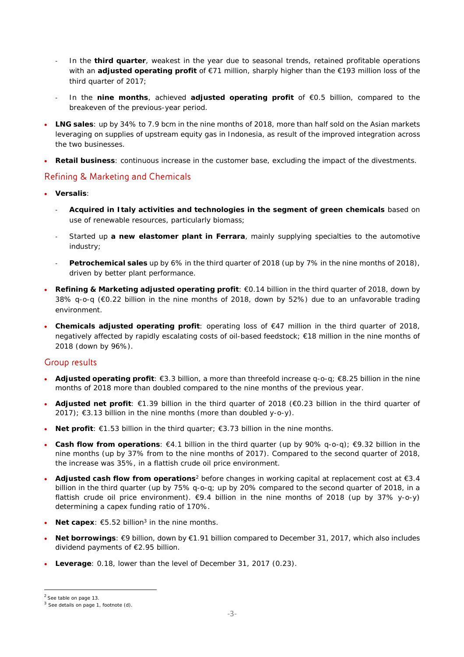- ‐ In the **third quarter**, weakest in the year due to seasonal trends, retained profitable operations with an **adjusted operating profit** of €71 million, sharply higher than the €193 million loss of the third quarter of 2017;
- ‐ In the **nine months**, achieved **adjusted operating profit** of €0.5 billion, compared to the breakeven of the previous-year period.
- **LNG sales**: up by 34% to 7.9 bcm in the nine months of 2018, more than half sold on the Asian markets leveraging on supplies of upstream equity gas in Indonesia, as result of the improved integration across the two businesses.
- **Retail business**: continuous increase in the customer base, excluding the impact of the divestments.

### Refining & Marketing and Chemicals

- **Versalis**:
	- ‐ **Acquired in Italy activities and technologies in the segment of green chemicals** based on use of renewable resources, particularly biomass;
	- ‐ Started up **a new elastomer plant in Ferrara**, mainly supplying specialties to the automotive industry;
	- ‐ **Petrochemical sales** up by 6% in the third quarter of 2018 (up by 7% in the nine months of 2018), driven by better plant performance.
- **Refining & Marketing adjusted operating profit**: €0.14 billion in the third quarter of 2018, down by 38% q-o-q (€0.22 billion in the nine months of 2018, down by 52%) due to an unfavorable trading environment.
- **Chemicals adjusted operating profit**: operating loss of €47 million in the third quarter of 2018, negatively affected by rapidly escalating costs of oil-based feedstock; €18 million in the nine months of 2018 (down by 96%).

### Group results

- **Adjusted operating profit**: €3.3 billion, a more than threefold increase q-o-q; €8.25 billion in the nine months of 2018 more than doubled compared to the nine months of the previous year.
- **Adjusted net profit**: €1.39 billion in the third quarter of 2018 (€0.23 billion in the third quarter of 2017);  $\epsilon$ 3.13 billion in the nine months (more than doubled y-o-y).
- **Net profit**: €1.53 billion in the third quarter; €3.73 billion in the nine months.
- **Cash flow from operations**: €4.1 billion in the third quarter (up by 90% q-o-q); €9.32 billion in the nine months (up by 37% from to the nine months of 2017). Compared to the second quarter of 2018, the increase was 35%, in a flattish crude oil price environment.
- **Adjusted cash flow from operations**<sup>2</sup> before changes in working capital at replacement cost at €3.4 billion in the third quarter (up by 75% q-o-q; up by 20% compared to the second quarter of 2018, in a flattish crude oil price environment).  $\epsilon$ 9.4 billion in the nine months of 2018 (up by 37% y-o-y) determining a capex funding ratio of 170%.
- **Net capex**:  $65.52$  billion<sup>3</sup> in the nine months.
- **Net borrowings**: €9 billion, down by €1.91 billion compared to December 31, 2017, which also includes dividend payments of €2.95 billion.
- **Leverage**: 0.18, lower than the level of December 31, 2017 (0.23).

<sup>2</sup> See table on page 13.

<sup>3</sup> See details on page 1, footnote (d).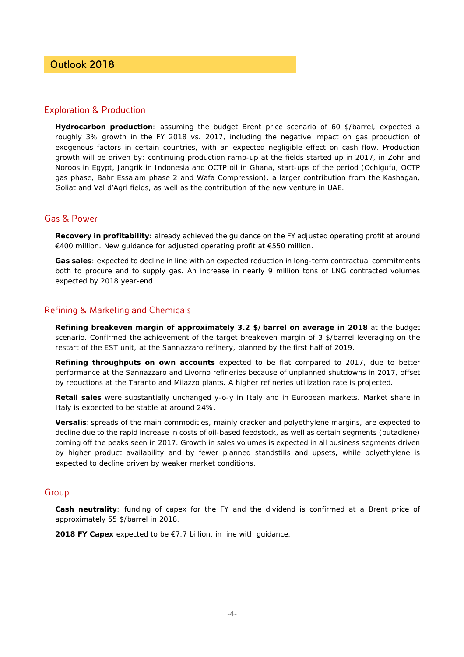## Outlook 2018

### Exploration & Production

**Hydrocarbon production**: assuming the budget Brent price scenario of 60 \$/barrel, expected a roughly 3% growth in the FY 2018 vs. 2017, including the negative impact on gas production of exogenous factors in certain countries, with an expected negligible effect on cash flow. Production growth will be driven by: continuing production ramp-up at the fields started up in 2017, in Zohr and Noroos in Egypt, Jangrik in Indonesia and OCTP oil in Ghana, start-ups of the period (Ochigufu, OCTP gas phase, Bahr Essalam phase 2 and Wafa Compression), a larger contribution from the Kashagan, Goliat and Val d'Agri fields, as well as the contribution of the new venture in UAE.

### Gas & Power

**Recovery in profitability**: already achieved the guidance on the FY adjusted operating profit at around €400 million. New guidance for adjusted operating profit at €550 million.

**Gas sales**: expected to decline in line with an expected reduction in long-term contractual commitments both to procure and to supply gas. An increase in nearly 9 million tons of LNG contracted volumes expected by 2018 year-end.

### Refining & Marketing and Chemicals

**Refining breakeven margin of approximately 3.2 \$/barrel on average in 2018** at the budget scenario. Confirmed the achievement of the target breakeven margin of 3 \$/barrel leveraging on the restart of the EST unit, at the Sannazzaro refinery, planned by the first half of 2019.

**Refining throughputs on own accounts** expected to be flat compared to 2017, due to better performance at the Sannazzaro and Livorno refineries because of unplanned shutdowns in 2017, offset by reductions at the Taranto and Milazzo plants. A higher refineries utilization rate is projected.

**Retail sales** were substantially unchanged y-o-y in Italy and in European markets. Market share in Italy is expected to be stable at around 24%.

**Versalis**: spreads of the main commodities, mainly cracker and polyethylene margins, are expected to decline due to the rapid increase in costs of oil-based feedstock, as well as certain segments (butadiene) coming off the peaks seen in 2017. Growth in sales volumes is expected in all business segments driven by higher product availability and by fewer planned standstills and upsets, while polyethylene is expected to decline driven by weaker market conditions.

### Group

**Cash neutrality**: funding of capex for the FY and the dividend is confirmed at a Brent price of approximately 55 \$/barrel in 2018.

**2018 FY Capex** expected to be €7.7 billion, in line with guidance.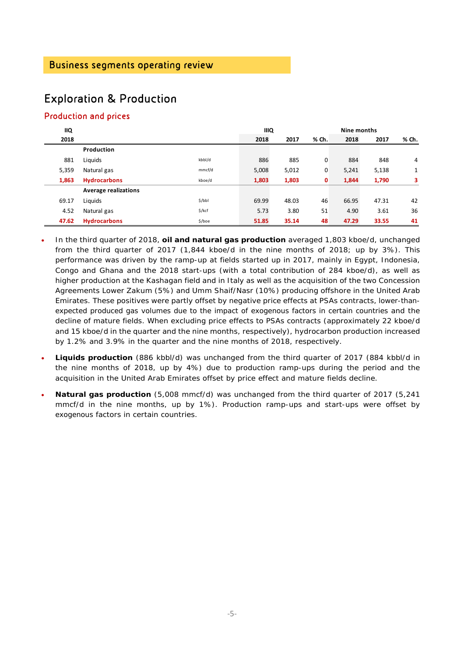# Exploration & Production

## Production and prices

| <b>IIQ</b> |                             |          | <b>IIIQ</b> |       |       | Nine months |       |       |  |
|------------|-----------------------------|----------|-------------|-------|-------|-------------|-------|-------|--|
| 2018       |                             |          | 2018        | 2017  | % Ch. | 2018        | 2017  | % Ch. |  |
|            | Production                  |          |             |       |       |             |       |       |  |
| 881        | Liquids                     | kbbl/d   | 886         | 885   | 0     | 884         | 848   | 4     |  |
| 5,359      | Natural gas                 | mmcf/d   | 5,008       | 5,012 | 0     | 5,241       | 5,138 | 1     |  |
| 1,863      | <b>Hydrocarbons</b>         | kboe/d   | 1,803       | 1,803 | 0     | 1,844       | 1,790 | 3     |  |
|            | <b>Average realizations</b> |          |             |       |       |             |       |       |  |
| 69.17      | Liquids                     | \$/bbl   | 69.99       | 48.03 | 46    | 66.95       | 47.31 | 42    |  |
| 4.52       | Natural gas                 | $$$ /kcf | 5.73        | 3.80  | 51    | 4.90        | 3.61  | 36    |  |
| 47.62      | <b>Hydrocarbons</b>         | \$/boe   | 51.85       | 35.14 | 48    | 47.29       | 33.55 | 41    |  |

- In the third quarter of 2018, **oil and natural gas production** averaged 1,803 kboe/d, unchanged from the third quarter of 2017 (1,844 kboe/d in the nine months of 2018; up by 3%). This performance was driven by the ramp-up at fields started up in 2017, mainly in Egypt, Indonesia, Congo and Ghana and the 2018 start-ups (with a total contribution of 284 kboe/d), as well as higher production at the Kashagan field and in Italy as well as the acquisition of the two Concession Agreements Lower Zakum (5%) and Umm Shaif/Nasr (10%) producing offshore in the United Arab Emirates. These positives were partly offset by negative price effects at PSAs contracts, lower-thanexpected produced gas volumes due to the impact of exogenous factors in certain countries and the decline of mature fields. When excluding price effects to PSAs contracts (approximately 22 kboe/d and 15 kboe/d in the quarter and the nine months, respectively), hydrocarbon production increased by 1.2% and 3.9% in the quarter and the nine months of 2018, respectively.
- **Liquids production** (886 kbbl/d) was unchanged from the third quarter of 2017 (884 kbbl/d in the nine months of 2018, up by 4%) due to production ramp-ups during the period and the acquisition in the United Arab Emirates offset by price effect and mature fields decline.
- **Natural gas production** (5,008 mmcf/d) was unchanged from the third quarter of 2017 (5,241 mmcf/d in the nine months, up by 1%). Production ramp-ups and start-ups were offset by exogenous factors in certain countries.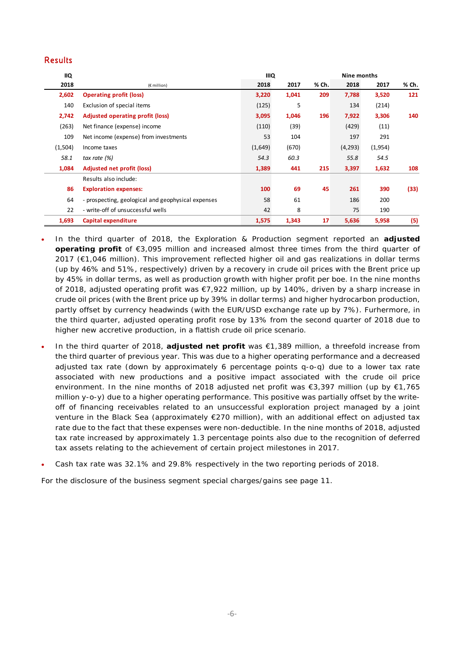### Results

| <b>IIQ</b> |                                                    | <b>IIIQ</b> |       | Nine months |          |         |       |
|------------|----------------------------------------------------|-------------|-------|-------------|----------|---------|-------|
| 2018       | $(E$ million)                                      | 2018        | 2017  | % Ch.       | 2018     | 2017    | % Ch. |
| 2,602      | <b>Operating profit (loss)</b>                     | 3,220       | 1,041 | 209         | 7,788    | 3,520   | 121   |
| 140        | Exclusion of special items                         | (125)       | 5     |             | 134      | (214)   |       |
| 2,742      | <b>Adjusted operating profit (loss)</b>            | 3,095       | 1,046 | 196         | 7,922    | 3,306   | 140   |
| (263)      | Net finance (expense) income                       | (110)       | (39)  |             | (429)    | (11)    |       |
| 109        | Net income (expense) from investments              | 53          | 104   |             | 197      | 291     |       |
| (1,504)    | Income taxes                                       | (1,649)     | (670) |             | (4, 293) | (1,954) |       |
| 58.1       | tax rate $(%)$                                     | 54.3        | 60.3  |             | 55.8     | 54.5    |       |
| 1,084      | <b>Adjusted net profit (loss)</b>                  | 1,389       | 441   | 215         | 3,397    | 1,632   | 108   |
|            | Results also include:                              |             |       |             |          |         |       |
| 86         | <b>Exploration expenses:</b>                       | 100         | 69    | 45          | 261      | 390     | (33)  |
| 64         | - prospecting, geological and geophysical expenses | 58          | 61    |             | 186      | 200     |       |
| 22         | - write-off of unsuccessful wells                  |             | 8     |             | 75       | 190     |       |
| 1,693      | Capital expenditure                                | 1,575       | 1,343 | 17          | 5,636    | 5,958   | (5)   |

- In the third quarter of 2018, the Exploration & Production segment reported an **adjusted operating profit** of €3,095 million and increased almost three times from the third quarter of 2017 (€1,046 million). This improvement reflected higher oil and gas realizations in dollar terms (up by 46% and 51%, respectively) driven by a recovery in crude oil prices with the Brent price up by 45% in dollar terms, as well as production growth with higher profit per boe. In the nine months of 2018, adjusted operating profit was €7,922 million, up by 140%, driven by a sharp increase in crude oil prices (with the Brent price up by 39% in dollar terms) and higher hydrocarbon production, partly offset by currency headwinds (with the EUR/USD exchange rate up by 7%). Furhermore, in the third quarter, adjusted operating profit rose by 13% from the second quarter of 2018 due to higher new accretive production, in a flattish crude oil price scenario.
- In the third quarter of 2018, **adjusted net profit** was €1,389 million, a threefold increase from the third quarter of previous year. This was due to a higher operating performance and a decreased adjusted tax rate (down by approximately 6 percentage points q-o-q) due to a lower tax rate associated with new productions and a positive impact associated with the crude oil price environment. In the nine months of 2018 adjusted net profit was €3,397 million (up by €1,765 million y-o-y) due to a higher operating performance. This positive was partially offset by the writeoff of financing receivables related to an unsuccessful exploration project managed by a joint venture in the Black Sea (approximately €270 million), with an additional effect on adjusted tax rate due to the fact that these expenses were non-deductible. In the nine months of 2018, adjusted tax rate increased by approximately 1.3 percentage points also due to the recognition of deferred tax assets relating to the achievement of certain project milestones in 2017.
- Cash tax rate was 32.1% and 29.8% respectively in the two reporting periods of 2018.

For the disclosure of the business segment special charges/gains see page 11.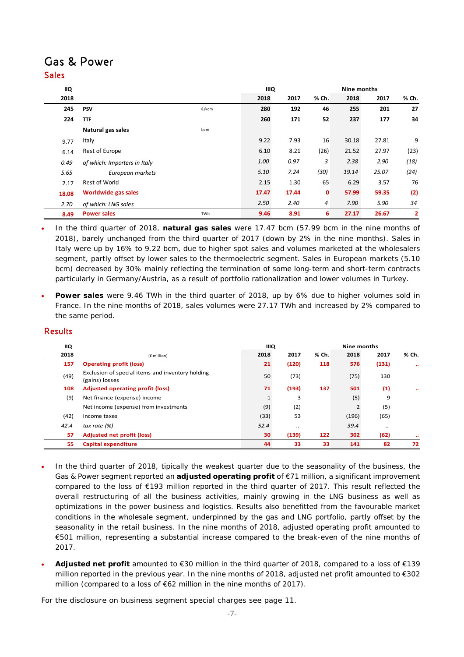## Gas & Power Sales

| IIQ   |                              |       | <b>IIIQ</b> |       |       |       |       |                         |
|-------|------------------------------|-------|-------------|-------|-------|-------|-------|-------------------------|
| 2018  |                              |       | 2018        | 2017  | % Ch. | 2018  | 2017  | % Ch.                   |
| 245   | <b>PSV</b>                   | €/kcm | 280         | 192   | 46    | 255   | 201   | 27                      |
| 224   | <b>TTF</b>                   |       | 260         | 171   | 52    | 237   | 177   | 34                      |
|       | Natural gas sales            | bcm   |             |       |       |       |       |                         |
| 9.77  | Italy                        |       | 9.22        | 7.93  | 16    | 30.18 | 27.81 | 9                       |
| 6.14  | Rest of Europe               |       | 6.10        | 8.21  | (26)  | 21.52 | 27.97 | (23)                    |
| 0.49  | of which: Importers in Italy |       | 1.00        | 0.97  | 3     | 2.38  | 2.90  | (18)                    |
| 5.65  | European markets             |       | 5.10        | 7.24  | (30)  | 19.14 | 25.07 | (24)                    |
| 2.17  | Rest of World                |       | 2.15        | 1.30  | 65    | 6.29  | 3.57  | 76                      |
| 18.08 | Worldwide gas sales          |       | 17.47       | 17.44 | 0     | 57.99 | 59.35 | (2)                     |
| 2.70  | of which: LNG sales          |       | 2.50        | 2.40  | 4     | 7.90  | 5.90  | 34                      |
| 8.49  | <b>Power sales</b>           | TWh   | 9.46        | 8.91  | 6     | 27.17 | 26.67 | $\overline{\mathbf{2}}$ |

 In the third quarter of 2018, **natural gas sales** were 17.47 bcm (57.99 bcm in the nine months of 2018), barely unchanged from the third quarter of 2017 (down by 2% in the nine months). Sales in Italy were up by 16% to 9.22 bcm, due to higher spot sales and volumes marketed at the wholesalers segment, partly offset by lower sales to the thermoelectric segment. Sales in European markets (5.10 bcm) decreased by 30% mainly reflecting the termination of some long-term and short-term contracts particularly in Germany/Austria, as a result of portfolio rationalization and lower volumes in Turkey.

 **Power sales** were 9.46 TWh in the third quarter of 2018, up by 6% due to higher volumes sold in France. In the nine months of 2018, sales volumes were 27.17 TWh and increased by 2% compared to the same period.

### Results

| <b>IIQ</b> |                                                                    | <b>IIIQ</b>  |           | Nine months |       |       |           |
|------------|--------------------------------------------------------------------|--------------|-----------|-------------|-------|-------|-----------|
| 2018       | $(E$ million)                                                      | 2018         | 2017      | % Ch.       | 2018  | 2017  | % Ch.     |
| 157        | <b>Operating profit (loss)</b>                                     | 21           | (120)     | 118         | 576   | (131) | $\bullet$ |
| (49)       | Exclusion of special items and inventory holding<br>(gains) losses | 50           | (73)      |             | (75)  | 130   |           |
| 108        | Adjusted operating profit (loss)                                   | 71           | (193)     | 137         | 501   | (1)   |           |
| (9)        | Net finance (expense) income                                       | $\mathbf{1}$ | 3         |             | (5)   | 9     |           |
|            | Net income (expense) from investments                              | (9)          | (2)       |             |       | (5)   |           |
| (42)       | Income taxes                                                       | (33)         | 53        |             | (196) | (65)  |           |
| 42.4       | tax rate $(%)$                                                     | 52.4         | $\cdot$ . |             | 39.4  |       |           |
| 57         | <b>Adjusted net profit (loss)</b>                                  | 30           | (139)     | 122         | 302   | (62)  | $\cdot$   |
| 55         | Capital expenditure                                                | 44           | 33        | 33          | 141   | 82    | 72        |

- In the third quarter of 2018, tipically the weakest quarter due to the seasonality of the business, the Gas & Power segment reported an **adjusted operating profit** of €71 million, a significant improvement compared to the loss of €193 million reported in the third quarter of 2017. This result reflected the overall restructuring of all the business activities, mainly growing in the LNG business as well as optimizations in the power business and logistics. Results also benefitted from the favourable market conditions in the wholesale segment, underpinned by the gas and LNG portfolio, partly offset by the seasonality in the retail business. In the nine months of 2018, adjusted operating profit amounted to €501 million, representing a substantial increase compared to the break-even of the nine months of 2017.
- **Adjusted net profit** amounted to €30 million in the third quarter of 2018, compared to a loss of €139 million reported in the previous year. In the nine months of 2018, adjusted net profit amounted to €302 million (compared to a loss of €62 million in the nine months of 2017).

For the disclosure on business segment special charges see page 11.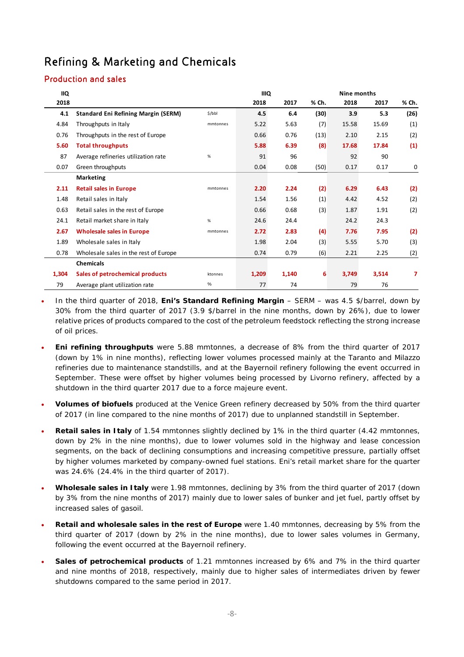# Refining & Marketing and Chemicals

## Production and sales

| ΙIQ   |                                            |          | <b>IIIQ</b> |       | Nine months |       |       |       |
|-------|--------------------------------------------|----------|-------------|-------|-------------|-------|-------|-------|
| 2018  |                                            |          | 2018        | 2017  | % Ch.       | 2018  | 2017  | % Ch. |
| 4.1   | <b>Standard Eni Refining Margin (SERM)</b> | \$/bbl   | 4.5         | 6.4   | (30)        | 3.9   | 5.3   | (26)  |
| 4.84  | Throughputs in Italy                       | mmtonnes | 5.22        | 5.63  | (7)         | 15.58 | 15.69 | (1)   |
| 0.76  | Throughputs in the rest of Europe          |          | 0.66        | 0.76  | (13)        | 2.10  | 2.15  | (2)   |
| 5.60  | <b>Total throughputs</b>                   |          | 5.88        | 6.39  | (8)         | 17.68 | 17.84 | (1)   |
| 87    | Average refineries utilization rate        | %        | 91          | 96    |             | 92    | 90    |       |
| 0.07  | Green throughputs                          |          | 0.04        | 0.08  | (50)        | 0.17  | 0.17  | 0     |
|       | <b>Marketing</b>                           |          |             |       |             |       |       |       |
| 2.11  | <b>Retail sales in Europe</b>              | mmtonnes | 2.20        | 2.24  | (2)         | 6.29  | 6.43  | (2)   |
| 1.48  | Retail sales in Italy                      |          | 1.54        | 1.56  | (1)         | 4.42  | 4.52  | (2)   |
| 0.63  | Retail sales in the rest of Europe         |          | 0.66        | 0.68  | (3)         | 1.87  | 1.91  | (2)   |
| 24.1  | Retail market share in Italy               | $\%$     | 24.6        | 24.4  |             | 24.2  | 24.3  |       |
| 2.67  | <b>Wholesale sales in Europe</b>           | mmtonnes | 2.72        | 2.83  | (4)         | 7.76  | 7.95  | (2)   |
| 1.89  | Wholesale sales in Italy                   |          | 1.98        | 2.04  | (3)         | 5.55  | 5.70  | (3)   |
| 0.78  | Wholesale sales in the rest of Europe      |          | 0.74        | 0.79  | (6)         | 2.21  | 2.25  | (2)   |
|       | <b>Chemicals</b>                           |          |             |       |             |       |       |       |
| 1,304 | Sales of petrochemical products            | ktonnes  | 1,209       | 1,140 | 6           | 3,749 | 3,514 | 7     |
| 79    | Average plant utilization rate             | %        | 77          | 74    |             | 79    | 76    |       |

- In the third quarter of 2018, **Eni's Standard Refining Margin** SERM was 4.5 \$/barrel, down by 30% from the third quarter of 2017 (3.9 \$/barrel in the nine months, down by 26%), due to lower relative prices of products compared to the cost of the petroleum feedstock reflecting the strong increase of oil prices.
- **Eni refining throughputs** were 5.88 mmtonnes, a decrease of 8% from the third quarter of 2017 (down by 1% in nine months), reflecting lower volumes processed mainly at the Taranto and Milazzo refineries due to maintenance standstills, and at the Bayernoil refinery following the event occurred in September. These were offset by higher volumes being processed by Livorno refinery, affected by a shutdown in the third quarter 2017 due to a force majeure event.
- **Volumes of biofuels** produced at the Venice Green refinery decreased by 50% from the third quarter of 2017 (in line compared to the nine months of 2017) due to unplanned standstill in September.
- **Retail sales in Italy** of 1.54 mmtonnes slightly declined by 1% in the third quarter (4.42 mmtonnes, down by 2% in the nine months), due to lower volumes sold in the highway and lease concession segments, on the back of declining consumptions and increasing competitive pressure, partially offset by higher volumes marketed by company-owned fuel stations. Eni's retail market share for the quarter was 24.6% (24.4% in the third quarter of 2017).
- **Wholesale sales in Italy** were 1.98 mmtonnes, declining by 3% from the third quarter of 2017 (down by 3% from the nine months of 2017) mainly due to lower sales of bunker and jet fuel, partly offset by increased sales of gasoil.
- **Retail and wholesale sales in the rest of Europe** were 1.40 mmtonnes, decreasing by 5% from the third quarter of 2017 (down by 2% in the nine months), due to lower sales volumes in Germany, following the event occurred at the Bayernoil refinery.
- **Sales of petrochemical products** of 1.21 mmtonnes increased by 6% and 7% in the third quarter and nine months of 2018, respectively, mainly due to higher sales of intermediates driven by fewer shutdowns compared to the same period in 2017.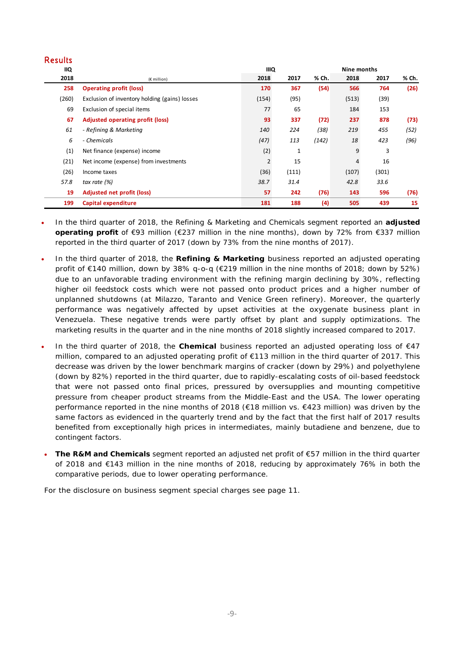### Results

| <b>IIQ</b> |                                               | <b>IIIQ</b>    |              | Nine months |       |       |       |
|------------|-----------------------------------------------|----------------|--------------|-------------|-------|-------|-------|
| 2018       | $(E$ million)                                 | 2018           | 2017         | % Ch.       | 2018  | 2017  | % Ch. |
| 258        | <b>Operating profit (loss)</b>                | 170            | 367          | (54)        | 566   | 764   | (26)  |
| (260)      | Exclusion of inventory holding (gains) losses | (154)          | (95)         |             | (513) | (39)  |       |
| 69         | Exclusion of special items                    | 77             | 65           |             | 184   | 153   |       |
| 67         | Adjusted operating profit (loss)              | 93             | 337          | (72)        | 237   | 878   | (73)  |
| 61         | - Refining & Marketing                        | 140            | 224          | (38)        | 219   | 455   | (52)  |
| 6          | - Chemicals                                   | (47)           | 113          | (142)       | 18    | 423   | (96)  |
| (1)        | Net finance (expense) income                  | (2)            | $\mathbf{1}$ |             | 9     | 3     |       |
| (21)       | Net income (expense) from investments         | $\overline{2}$ | 15           |             | 4     | 16    |       |
| (26)       | Income taxes                                  | (36)           | (111)        |             | (107) | (301) |       |
| 57.8       | tax rate (%)                                  | 38.7           | 31.4         |             | 42.8  | 33.6  |       |
| 19         | <b>Adjusted net profit (loss)</b>             | 57             | 242          | (76)        | 143   | 596   | (76)  |
| 199        | Capital expenditure                           | 181            | 188          | (4)         | 505   | 439   | 15    |

- In the third quarter of 2018, the Refining & Marketing and Chemicals segment reported an **adjusted operating profit** of €93 million (€237 million in the nine months), down by 72% from €337 million reported in the third quarter of 2017 (down by 73% from the nine months of 2017).
- In the third quarter of 2018, the **Refining & Marketing** business reported an adjusted operating profit of €140 million, down by 38% q-o-q (€219 million in the nine months of 2018; down by 52%) due to an unfavorable trading environment with the refining margin declining by 30%, reflecting higher oil feedstock costs which were not passed onto product prices and a higher number of unplanned shutdowns (at Milazzo, Taranto and Venice Green refinery). Moreover, the quarterly performance was negatively affected by upset activities at the oxygenate business plant in Venezuela. These negative trends were partly offset by plant and supply optimizations. The marketing results in the quarter and in the nine months of 2018 slightly increased compared to 2017.
- In the third quarter of 2018, the **Chemical** business reported an adjusted operating loss of €47 million, compared to an adjusted operating profit of €113 million in the third quarter of 2017. This decrease was driven by the lower benchmark margins of cracker (down by 29%) and polyethylene (down by 82%) reported in the third quarter, due to rapidly-escalating costs of oil-based feedstock that were not passed onto final prices, pressured by oversupplies and mounting competitive pressure from cheaper product streams from the Middle-East and the USA. The lower operating performance reported in the nine months of 2018 (€18 million vs. €423 million) was driven by the same factors as evidenced in the quarterly trend and by the fact that the first half of 2017 results benefited from exceptionally high prices in intermediates, mainly butadiene and benzene, due to contingent factors.
- **The R&M and Chemicals** segment reported an adjusted net profit of €57 million in the third quarter of 2018 and €143 million in the nine months of 2018, reducing by approximately 76% in both the comparative periods, due to lower operating performance.

For the disclosure on business segment special charges see page 11.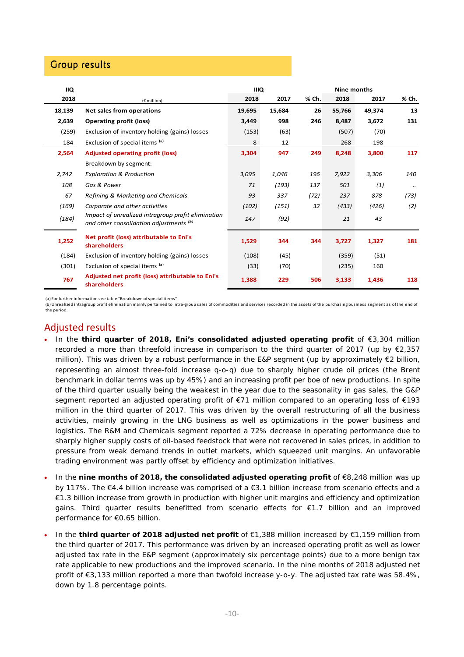## Group results

| IIQ    |                                                                                               | <b>IIIQ</b> |        |       | Nine months |        |               |
|--------|-----------------------------------------------------------------------------------------------|-------------|--------|-------|-------------|--------|---------------|
| 2018   | (€ million)                                                                                   | 2018        | 2017   | % Ch. | 2018        | 2017   | % Ch.         |
| 18,139 | Net sales from operations                                                                     | 19,695      | 15,684 | 26    | 55,766      | 49,374 | 13            |
| 2,639  | <b>Operating profit (loss)</b>                                                                | 3,449       | 998    | 246   | 8,487       | 3,672  | 131           |
| (259)  | Exclusion of inventory holding (gains) losses                                                 | (153)       | (63)   |       | (507)       | (70)   |               |
| 184    | Exclusion of special items (a)                                                                | 8           | 12     |       | 268         | 198    |               |
| 2,564  | <b>Adjusted operating profit (loss)</b>                                                       | 3,304       | 947    | 249   | 8,248       | 3,800  | 117           |
|        | Breakdown by segment:                                                                         |             |        |       |             |        |               |
| 2,742  | <b>Exploration &amp; Production</b>                                                           | 3,095       | 1,046  | 196   | 7,922       | 3,306  | 140           |
| 108    | Gas & Power                                                                                   | 71          | (193)  | 137   | 501         | (1)    | $\cdot \cdot$ |
| 67     | Refining & Marketing and Chemicals                                                            | 93          | 337    | (72)  | 237         | 878    | (73)          |
| (169)  | Corporate and other activities                                                                | (102)       | (151)  | 32    | (433)       | (426)  | (2)           |
| (184)  | Impact of unrealized intragroup profit elimination<br>and other consolidation adjustments (b) | 147         | (92)   |       | 21          | 43     |               |
| 1,252  | Net profit (loss) attributable to Eni's<br>shareholders                                       | 1,529       | 344    | 344   | 3,727       | 1,327  | 181           |
| (184)  | Exclusion of inventory holding (gains) losses                                                 | (108)       | (45)   |       | (359)       | (51)   |               |
| (301)  | Exclusion of special items (a)                                                                | (33)        | (70)   |       | (235)       | 160    |               |
| 767    | Adjusted net profit (loss) attributable to Eni's<br>shareholders                              | 1,388       | 229    | 506   | 3,133       | 1,436  | 118           |

(a) For further information see table "Breakdown ofspecial items"

(b) Unrealized intragroup profit elimination mainly pertained to intra‐group sales of commodities and services recorded in the assets of the purchasing business segment as of the end of the period.

### Adjusted results

- In the **third quarter of 2018, Eni's consolidated adjusted operating profit** of €3,304 million recorded a more than threefold increase in comparison to the third quarter of 2017 (up by €2,357 million). This was driven by a robust performance in the E&P segment (up by approximately  $\epsilon$ 2 billion, representing an almost three-fold increase q-o-q) due to sharply higher crude oil prices (the Brent benchmark in dollar terms was up by 45%) and an increasing profit per boe of new productions. In spite of the third quarter usually being the weakest in the year due to the seasonality in gas sales, the G&P segment reported an adjusted operating profit of €71 million compared to an operating loss of €193 million in the third quarter of 2017. This was driven by the overall restructuring of all the business activities, mainly growing in the LNG business as well as optimizations in the power business and logistics. The R&M and Chemicals segment reported a 72% decrease in operating performance due to sharply higher supply costs of oil-based feedstock that were not recovered in sales prices, in addition to pressure from weak demand trends in outlet markets, which squeezed unit margins. An unfavorable trading environment was partly offset by efficiency and optimization initiatives.
- In the **nine months of 2018, the consolidated adjusted operating profit** of €8,248 million was up by 117%. The €4.4 billion increase was comprised of a €3.1 billion increase from scenario effects and a €1.3 billion increase from growth in production with higher unit margins and efficiency and optimization gains. Third quarter results benefitted from scenario effects for €1.7 billion and an improved performance for €0.65 billion.
- In the **third quarter of 2018 adjusted net profit** of €1,388 million increased by €1,159 million from the third quarter of 2017. This performance was driven by an increased operating profit as well as lower adjusted tax rate in the E&P segment (approximately six percentage points) due to a more benign tax rate applicable to new productions and the improved scenario. In the nine months of 2018 adjusted net profit of €3,133 million reported a more than twofold increase y-o-y. The adjusted tax rate was 58.4%, down by 1.8 percentage points.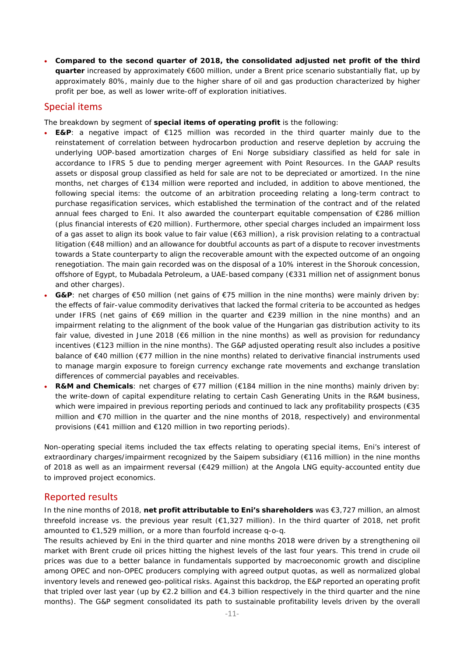**Compared to the second quarter of 2018, the consolidated adjusted net profit of the third quarter** increased by approximately €600 million, under a Brent price scenario substantially flat, up by approximately 80%, mainly due to the higher share of oil and gas production characterized by higher profit per boe, as well as lower write-off of exploration initiatives.

### Special items

The breakdown by segment of **special items of operating profit** is the following:

- **E&P**: a negative impact of €125 million was recorded in the third quarter mainly due to the reinstatement of correlation between hydrocarbon production and reserve depletion by accruing the underlying UOP-based amortization charges of Eni Norge subsidiary classified as held for sale in accordance to IFRS 5 due to pending merger agreement with Point Resources. In the GAAP results assets or disposal group classified as held for sale are not to be depreciated or amortized. In the nine months, net charges of €134 million were reported and included, in addition to above mentioned, the following special items: the outcome of an arbitration proceeding relating a long-term contract to purchase regasification services, which established the termination of the contract and of the related annual fees charged to Eni. It also awarded the counterpart equitable compensation of €286 million (plus financial interests of €20 million). Furthermore, other special charges included an impairment loss of a gas asset to align its book value to fair value (€63 million), a risk provision relating to a contractual litigation (€48 million) and an allowance for doubtful accounts as part of a dispute to recover investments towards a State counterparty to align the recoverable amount with the expected outcome of an ongoing renegotiation. The main gain recorded was on the disposal of a 10% interest in the Shorouk concession, offshore of Egypt, to Mubadala Petroleum, a UAE-based company (€331 million net of assignment bonus and other charges).
- **G&P**: net charges of €50 million (net gains of €75 million in the nine months) were mainly driven by: the effects of fair-value commodity derivatives that lacked the formal criteria to be accounted as hedges under IFRS (net gains of €69 million in the quarter and €239 million in the nine months) and an impairment relating to the alignment of the book value of the Hungarian gas distribution activity to its fair value, divested in June 2018 (€6 million in the nine months) as well as provision for redundancy incentives (€123 million in the nine months). The G&P adjusted operating result also includes a positive balance of €40 million (€77 million in the nine months) related to derivative financial instruments used to manage margin exposure to foreign currency exchange rate movements and exchange translation differences of commercial payables and receivables.
- **R&M and Chemicals**: net charges of €77 million (€184 million in the nine months) mainly driven by: the write-down of capital expenditure relating to certain Cash Generating Units in the R&M business, which were impaired in previous reporting periods and continued to lack any profitability prospects (€35 million and €70 million in the quarter and the nine months of 2018, respectively) and environmental provisions (€41 million and €120 million in two reporting periods).

Non-operating special items included the tax effects relating to operating special items, Eni's interest of extraordinary charges/impairment recognized by the Saipem subsidiary (€116 million) in the nine months of 2018 as well as an impairment reversal (€429 million) at the Angola LNG equity-accounted entity due to improved project economics.

## Reported results

In the nine months of 2018, **net profit attributable to Eni's shareholders** was €3,727 million, an almost threefold increase vs. the previous year result (€1,327 million). In the third quarter of 2018, net profit amounted to €1,529 million, or a more than fourfold increase q-o-q.

The results achieved by Eni in the third quarter and nine months 2018 were driven by a strengthening oil market with Brent crude oil prices hitting the highest levels of the last four years. This trend in crude oil prices was due to a better balance in fundamentals supported by macroeconomic growth and discipline among OPEC and non-OPEC producers complying with agreed output quotas, as well as normalized global inventory levels and renewed geo-political risks. Against this backdrop, the E&P reported an operating profit that tripled over last year (up by  $\epsilon$ 2.2 billion and  $\epsilon$ 4.3 billion respectively in the third quarter and the nine months). The G&P segment consolidated its path to sustainable profitability levels driven by the overall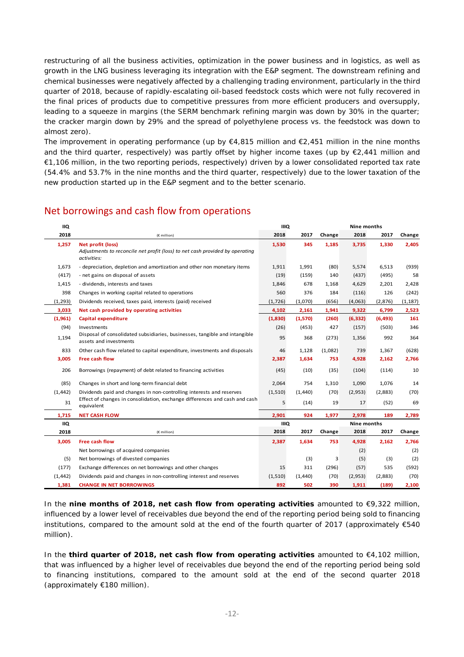restructuring of all the business activities, optimization in the power business and in logistics, as well as growth in the LNG business leveraging its integration with the E&P segment. The downstream refining and chemical businesses were negatively affected by a challenging trading environment, particularly in the third quarter of 2018, because of rapidly-escalating oil-based feedstock costs which were not fully recovered in the final prices of products due to competitive pressures from more efficient producers and oversupply, leading to a squeeze in margins (the SERM benchmark refining margin was down by 30% in the quarter; the cracker margin down by 29% and the spread of polyethylene process vs. the feedstock was down to almost zero).

The improvement in operating performance (up by  $\epsilon$ 4,815 million and  $\epsilon$ 2,451 million in the nine months and the third quarter, respectively) was partly offset by higher income taxes (up by €2,441 million and €1,106 million, in the two reporting periods, respectively) driven by a lower consolidated reported tax rate (54.4% and 53.7% in the nine months and the third quarter, respectively) due to the lower taxation of the new production started up in the E&P segment and to the better scenario.

## Net borrowings and cash flow from operations

| <b>IIQ</b> |                                                                                                                         | <b>IIIQ</b> |         |         | <b>Nine months</b> |          |          |
|------------|-------------------------------------------------------------------------------------------------------------------------|-------------|---------|---------|--------------------|----------|----------|
| 2018       | (€ million)                                                                                                             | 2018        | 2017    | Change  | 2018               | 2017     | Change   |
| 1,257      | <b>Net profit (loss)</b><br>Adjustments to reconcile net profit (loss) to net cash provided by operating<br>activities: | 1,530       | 345     | 1,185   | 3,735              | 1,330    | 2,405    |
| 1,673      | - depreciation, depletion and amortization and other non monetary items                                                 | 1,911       | 1,991   | (80)    | 5,574              | 6,513    | (939)    |
| (417)      | - net gains on disposal of assets                                                                                       | (19)        | (159)   | 140     | (437)              | (495)    | 58       |
| 1,415      | - dividends, interests and taxes                                                                                        | 1,846       | 678     | 1,168   | 4,629              | 2,201    | 2,428    |
| 398        | Changes in working capital related to operations                                                                        | 560         | 376     | 184     | (116)              | 126      | (242)    |
| (1, 293)   | Dividends received, taxes paid, interests (paid) received                                                               | (1,726)     | (1,070) | (656)   | (4,063)            | (2,876)  | (1, 187) |
| 3,033      | Net cash provided by operating activities                                                                               | 4,102       | 2,161   | 1,941   | 9,322              | 6,799    | 2,523    |
| (1,961)    | Capital expenditure                                                                                                     | (1,830)     | (1,570) | (260)   | (6, 332)           | (6, 493) | 161      |
| (94)       | Investments                                                                                                             | (26)        | (453)   | 427     | (157)              | (503)    | 346      |
| 1,194      | Disposal of consolidated subsidiaries, businesses, tangible and intangible<br>assets and investments                    |             | 368     | (273)   | 1,356              | 992      | 364      |
| 833        | Other cash flow related to capital expenditure, investments and disposals                                               | 46          | 1,128   | (1,082) | 739                | 1,367    | (628)    |
| 3,005      | <b>Free cash flow</b>                                                                                                   | 2,387       | 1,634   | 753     | 4,928              | 2,162    | 2,766    |
| 206        | Borrowings (repayment) of debt related to financing activities                                                          | (45)        | (10)    | (35)    | (104)              | (114)    | 10       |
| (85)       | Changes in short and long-term financial debt                                                                           | 2,064       | 754     | 1,310   | 1,090              | 1,076    | 14       |
| (1, 442)   | Dividends paid and changes in non-controlling interests and reserves                                                    | (1,510)     | (1,440) | (70)    | (2,953)            | (2,883)  | (70)     |
| 31         | Effect of changes in consolidation, exchange differences and cash and cash<br>equivalent                                | 5           | (14)    | 19      | 17                 | (52)     | 69       |
| 1,715      | <b>NET CASH FLOW</b>                                                                                                    | 2,901       | 924     | 1,977   | 2,978              | 189      | 2,789    |
| <b>IIQ</b> |                                                                                                                         | <b>IIIQ</b> |         |         | <b>Nine months</b> |          |          |
| 2018       | (€ million)                                                                                                             | 2018        | 2017    | Change  | 2018               | 2017     | Change   |
| 3,005      | <b>Free cash flow</b>                                                                                                   | 2,387       | 1,634   | 753     | 4,928              | 2,162    | 2,766    |
|            | Net borrowings of acquired companies                                                                                    |             |         |         | (2)                |          | (2)      |
| (5)        | Net borrowings of divested companies                                                                                    |             | (3)     | 3       | (5)                | (3)      | (2)      |
| (177)      | Exchange differences on net borrowings and other changes                                                                | 15          | 311     | (296)   | (57)               | 535      | (592)    |
| (1, 442)   | Dividends paid and changes in non-controlling interest and reserves                                                     |             | (1,440) | (70)    | (2,953)            | (2,883)  | (70)     |
| 1,381      | <b>CHANGE IN NET BORROWINGS</b>                                                                                         | 892         | 502     | 390     | 1,911              | (189)    | 2,100    |

In the **nine months of 2018, net cash flow from operating activities** amounted to €9,322 million, influenced by a lower level of receivables due beyond the end of the reporting period being sold to financing institutions, compared to the amount sold at the end of the fourth quarter of 2017 (approximately €540 million).

In the **third quarter of 2018, net cash flow from operating activities** amounted to €4,102 million, that was influenced by a higher level of receivables due beyond the end of the reporting period being sold to financing institutions, compared to the amount sold at the end of the second quarter 2018 (approximately €180 million).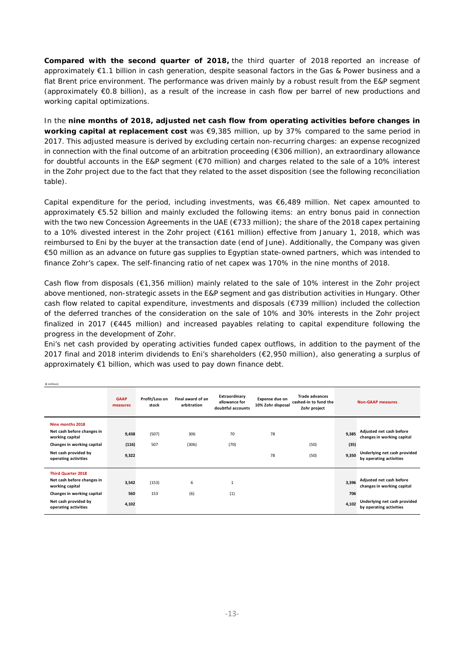**Compared with the second quarter of 2018,** the third quarter of 2018 reported an increase of approximately €1.1 billion in cash generation, despite seasonal factors in the Gas & Power business and a flat Brent price environment. The performance was driven mainly by a robust result from the E&P segment (approximately €0.8 billion), as a result of the increase in cash flow per barrel of new productions and working capital optimizations.

In the **nine months of 2018, adjusted net cash flow from operating activities before changes in working capital at replacement cost** was €9,385 million, up by 37% compared to the same period in 2017. This adjusted measure is derived by excluding certain non-recurring charges: an expense recognized in connection with the final outcome of an arbitration proceeding (€306 million), an extraordinary allowance for doubtful accounts in the E&P segment (€70 million) and charges related to the sale of a 10% interest in the Zohr project due to the fact that they related to the asset disposition (see the following reconciliation table).

Capital expenditure for the period, including investments, was €6,489 million. Net capex amounted to approximately €5.52 billion and mainly excluded the following items: an entry bonus paid in connection with the two new Concession Agreements in the UAE (€733 million); the share of the 2018 capex pertaining to a 10% divested interest in the Zohr project (€161 million) effective from January 1, 2018, which was reimbursed to Eni by the buyer at the transaction date (end of June). Additionally, the Company was given €50 million as an advance on future gas supplies to Egyptian state-owned partners, which was intended to finance Zohr's capex. The self-financing ratio of net capex was 170% in the nine months of 2018.

Cash flow from disposals (€1,356 million) mainly related to the sale of 10% interest in the Zohr project above mentioned, non-strategic assets in the E&P segment and gas distribution activities in Hungary. Other cash flow related to capital expenditure, investments and disposals (€739 million) included the collection of the deferred tranches of the consideration on the sale of 10% and 30% interests in the Zohr project finalized in 2017 (€445 million) and increased payables relating to capital expenditure following the progress in the development of Zohr.

Eni's net cash provided by operating activities funded capex outflows, in addition to the payment of the 2017 final and 2018 interim dividends to Eni's shareholders (€2,950 million), also generating a surplus of approximately €1 billion, which was used to pay down finance debt.

(€ million)

|                                               | <b>GAAP</b><br>measures | Profit/Loss on<br>stock | Final award of an<br>arbitration | Extraordinary<br>allowance for<br>doubtful accounts | Expense due on<br>10% Zohr disposal | <b>Trade advances</b><br>cashed-in to fund the<br>Zohr project |       | <b>Non-GAAP measures</b>                                |
|-----------------------------------------------|-------------------------|-------------------------|----------------------------------|-----------------------------------------------------|-------------------------------------|----------------------------------------------------------------|-------|---------------------------------------------------------|
| Nine months 2018                              |                         |                         |                                  |                                                     |                                     |                                                                |       |                                                         |
| Net cash before changes in<br>working capital | 9,438                   | (507)                   | 306                              | 70                                                  | 78                                  |                                                                | 9.385 | Adjusted net cash before<br>changes in working capital  |
| Changes in working capital                    | (116)                   | 507                     | (306)                            | (70)                                                |                                     | (50)                                                           | (35)  |                                                         |
| Net cash provided by<br>operating activities  | 9,322                   |                         |                                  |                                                     | 78                                  | (50)                                                           | 9,350 | Underlying net cash provided<br>by operating activities |
| <b>Third Quarter 2018</b>                     |                         |                         |                                  |                                                     |                                     |                                                                |       |                                                         |
| Net cash before changes in<br>working capital | 3,542                   | (153)                   | 6                                | $\mathbf{1}$                                        |                                     |                                                                | 3,396 | Adjusted net cash before<br>changes in working capital  |
| Changes in working capital                    | 560                     | 153                     | (6)                              | (1)                                                 |                                     |                                                                | 706   |                                                         |
| Net cash provided by<br>operating activities  | 4,102                   |                         |                                  |                                                     |                                     |                                                                | 4.102 | Underlying net cash provided<br>by operating activities |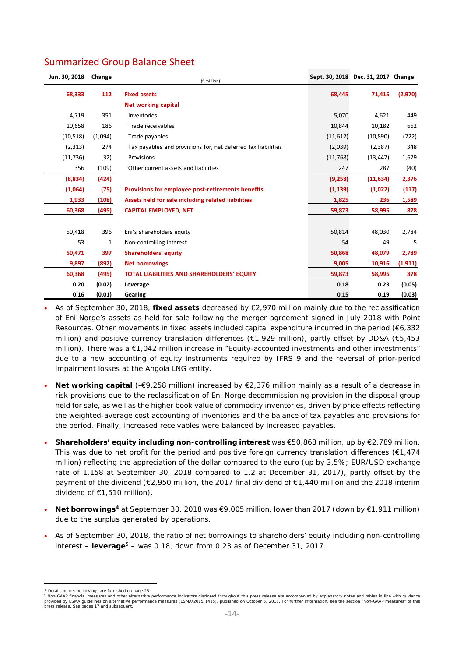| Jun. 30, 2018 | Change      | (€ million)                                                   |          | Sept. 30, 2018 Dec. 31, 2017 Change |          |
|---------------|-------------|---------------------------------------------------------------|----------|-------------------------------------|----------|
| 68,333        | 112         | <b>Fixed assets</b>                                           | 68,445   | 71,415                              | (2,970)  |
|               |             | <b>Net working capital</b>                                    |          |                                     |          |
| 4,719         | 351         | Inventories                                                   | 5,070    | 4,621                               | 449      |
| 10,658        | 186         | Trade receivables                                             | 10,844   | 10,182                              | 662      |
| (10, 518)     | (1,094)     | Trade payables                                                | (11,612) | (10, 890)                           | (722)    |
| (2, 313)      | 274         | Tax payables and provisions for, net deferred tax liabilities | (2,039)  | (2, 387)                            | 348      |
| (11, 736)     | (32)        | Provisions                                                    | (11,768) | (13, 447)                           | 1,679    |
| 356           | (109)       | Other current assets and liabilities                          | 247      | 287                                 | (40)     |
| (8,834)       | (424)       |                                                               | (9,258)  | (11, 634)                           | 2,376    |
| (1,064)       | (75)        | <b>Provisions for employee post-retirements benefits</b>      | (1, 139) | (1,022)                             | (117)    |
| 1,933         | (108)       | Assets held for sale including related liabilities            | 1,825    | 236                                 | 1,589    |
| 60,368        | (495)       | <b>CAPITAL EMPLOYED, NET</b>                                  | 59,873   | 58,995                              | 878      |
|               |             |                                                               |          |                                     |          |
| 50,418        | 396         | Eni's shareholders equity                                     | 50,814   | 48,030                              | 2,784    |
| 53            | $\mathbf 1$ | Non-controlling interest                                      | 54       | 49                                  | 5        |
| 50,471        | 397         | <b>Shareholders' equity</b>                                   | 50,868   | 48,079                              | 2,789    |
| 9,897         | (892)       | <b>Net borrowings</b>                                         | 9,005    | 10,916                              | (1, 911) |
| 60,368        | (495)       | <b>TOTAL LIABILITIES AND SHAREHOLDERS' EQUITY</b>             | 59,873   | 58,995                              | 878      |
| 0.20          | (0.02)      | Leverage                                                      | 0.18     | 0.23                                | (0.05)   |
| 0.16          | (0.01)      | Gearing                                                       | 0.15     | 0.19                                | (0.03)   |

 As of September 30, 2018, **fixed assets** decreased by €2,970 million mainly due to the reclassification of Eni Norge's assets as held for sale following the merger agreement signed in July 2018 with Point Resources. Other movements in fixed assets included capital expenditure incurred in the period (€6,332 million) and positive currency translation differences (€1,929 million), partly offset by DD&A (€5,453 million). There was a €1,042 million increase in "Equity-accounted investments and other investments" due to a new accounting of equity instruments required by IFRS 9 and the reversal of prior-period impairment losses at the Angola LNG entity.

- **Net working capital** (-€9,258 million) increased by €2,376 million mainly as a result of a decrease in risk provisions due to the reclassification of Eni Norge decommissioning provision in the disposal group held for sale, as well as the higher book value of commodity inventories, driven by price effects reflecting the weighted-average cost accounting of inventories and the balance of tax payables and provisions for the period. Finally, increased receivables were balanced by increased payables.
- **Shareholders' equity including non-controlling interest** was €50,868 million, up by €2.789 million. This was due to net profit for the period and positive foreign currency translation differences ( $\epsilon$ 1,474 million) reflecting the appreciation of the dollar compared to the euro (up by 3,5%; EUR/USD exchange rate of 1.158 at September 30, 2018 compared to 1.2 at December 31, 2017), partly offset by the payment of the dividend (€2,950 million, the 2017 final dividend of €1,440 million and the 2018 interim dividend of €1,510 million).
- **Net borrowings4** at September 30, 2018 was €9,005 million, lower than 2017 (down by €1,911 million) due to the surplus generated by operations.
- As of September 30, 2018, the ratio of net borrowings to shareholders' equity including non-controlling interest – **leverage**5 – was 0.18, down from 0.23 as of December 31, 2017.

 Details on net borrowings are furnished on page 25

<sup>5</sup> Non-GAAP financial measures and other alternative performance indicators disclosed throughout this press release are accompanied by explanatory notes and tables in line with guidance provided by ESMA guidelines on alternative performance measures (ESMA/2015/1415), published on October 5, 2015. For further information, see the section "Non-GAAP measures" of this<br>press release. See pages 17 and subsequen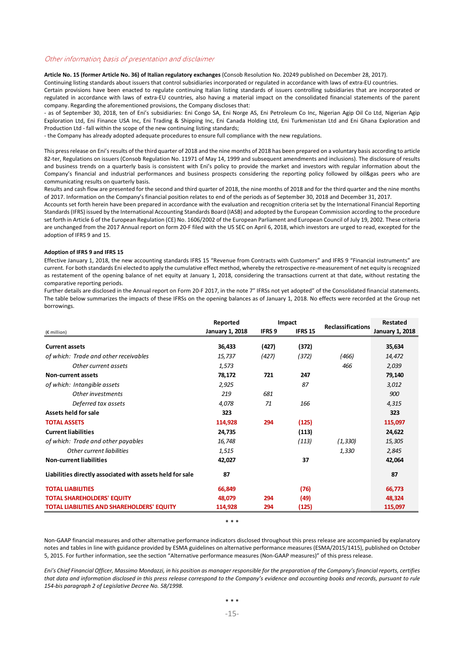#### Other information, basis of presentation and disclaimer

**Article No. 15 (former Article No. 36) of Italian regulatory exchanges** (Consob Resolution No. 20249 published on December 28, 2017).

Continuing listing standards about issuers that control subsidiaries incorporated or regulated in accordance with laws of extra‐EU countries.

Certain provisions have been enacted to regulate continuing Italian listing standards of issuers controlling subsidiaries that are incorporated or regulated in accordance with laws of extra‐EU countries, also having a material impact on the consolidated financial statements of the parent company. Regarding the aforementioned provisions, the Company discloses that:

‐ as of September 30, 2018, ten of Eni's subsidiaries: Eni Congo SA, Eni Norge AS, Eni Petroleum Co Inc, Nigerian Agip Oil Co Ltd, Nigerian Agip Exploration Ltd, Eni Finance USA Inc, Eni Trading & Shipping Inc, Eni Canada Holding Ltd, Eni Turkmenistan Ltd and Eni Ghana Exploration and Production Ltd ‐ fall within the scope of the new continuing listing standards;

‐ the Company has already adopted adequate procedures to ensure full compliance with the new regulations.

This pressrelease on Eni's results of the third quarter of 2018 and the nine months of 2018 has been prepared on a voluntary basis according to article 82-ter, Regulations on issuers (Consob Regulation No. 11971 of May 14, 1999 and subsequent amendments and inclusions). The disclosure of results and business trends on a quarterly basis is consistent with Eni's policy to provide the market and investors with regular information about the Company's financial and industrial performances and business prospects considering the reporting policy followed by oil&gas peers who are communicating results on quarterly basis.

Results and cash flow are presented for the second and third quarter of 2018, the nine months of 2018 and for the third quarter and the nine months of 2017. Information on the Company's financial position relates to end of the periods as of September 30, 2018 and December 31, 2017.

Accounts set forth herein have been prepared in accordance with the evaluation and recognition criteria set by the International Financial Reporting Standards(IFRS) issued by the International Accounting Standards Board (IASB) and adopted by the European Commission according to the procedure set forth in Article 6 of the European Regulation (CE) No. 1606/2002 of the European Parliament and European Council of July 19, 2002. These criteria are unchanged from the 2017 Annual report on form 20-F filed with the US SEC on April 6, 2018, which investors are urged to read, excepted for the adoption of IFRS 9 and 15.

#### **Adoption of IFRS 9 and IFRS 15**

Effective January 1, 2018, the new accounting standards IFRS 15 "Revenue from Contracts with Customers" and IFRS 9 "Financial instruments" are current. For both standards Eni elected to apply the cumulative effect method, whereby the retrospective re‐measurement of net equity isrecognized as restatement of the opening balance of net equity at January 1, 2018, considering the transactions current at that date, without restating the comparative reporting periods.

Further details are disclosed in the Annual report on Form 20‐F 2017, in the note 7" IFRSs not yet adopted" of the Consolidated financial statements. The table below summarizes the impacts of these IFRSs on the opening balances as of January 1, 2018. No effects were recorded at the Group net borrowings.

|                                                           | Reported<br>Impact |               |                | Reclassifications | <b>Restated</b>        |
|-----------------------------------------------------------|--------------------|---------------|----------------|-------------------|------------------------|
| (€ million)                                               | January 1, 2018    | <b>IFRS 9</b> | <b>IFRS 15</b> |                   | <b>January 1, 2018</b> |
| <b>Current assets</b>                                     | 36,433             | (427)         | (372)          |                   | 35,634                 |
| of which: Trade and other receivables                     | 15,737             | (427)         | (372)          | (466)             | 14,472                 |
| Other current assets                                      | 1,573              |               |                | 466               | 2,039                  |
| <b>Non-current assets</b>                                 | 78,172             | 721           | 247            |                   | 79,140                 |
| of which: Intangible assets                               | 2,925              |               | 87             |                   | 3,012                  |
| Other investments                                         | 219                | 681           |                |                   | 900                    |
| Deferred tax assets                                       | 4,078              | 71            | 166            |                   | 4,315                  |
| Assets held for sale                                      | 323                |               |                |                   | 323                    |
| <b>TOTAL ASSETS</b>                                       | 114,928            | 294           | (125)          |                   | 115,097                |
| <b>Current liabilities</b>                                | 24,735             |               | (113)          |                   | 24,622                 |
| of which: Trade and other payables                        | 16,748             |               | (113)          | (1, 330)          | 15,305                 |
| Other current liabilities                                 | 1,515              |               |                | 1,330             | 2,845                  |
| <b>Non-current liabilities</b>                            | 42,027             |               | 37             |                   | 42,064                 |
| Liabilities directly associated with assets held for sale | 87                 |               |                |                   | 87                     |
| <b>TOTAL LIABILITIES</b>                                  | 66,849             |               | (76)           |                   | 66,773                 |
| <b>TOTAL SHAREHOLDERS' EQUITY</b>                         | 48,079             | 294           | (49)           |                   | 48,324                 |
| <b>TOTAL LIABILITIES AND SHAREHOLDERS' EQUITY</b>         | 114,928            | 294           | (125)          |                   | 115,097                |

\* \* \*

Non‐GAAP financial measures and other alternative performance indicators disclosed throughout this press release are accompanied by explanatory notes and tables in line with guidance provided by ESMA guidelines on alternative performance measures (ESMA/2015/1415), published on October 5, 2015. For further information, see the section "Alternative performance measures (Non‐GAAP measures)" of this press release.

Eni's Chief Financial Officer, Massimo Mondazzi, in his position as manager responsible for the preparation of the Company's financial reports, certifies that data and information disclosed in this press release correspond to the Company's evidence and accounting books and records, pursuant to rule *154‐bis paragraph 2 of Legislative Decree No. 58/1998.*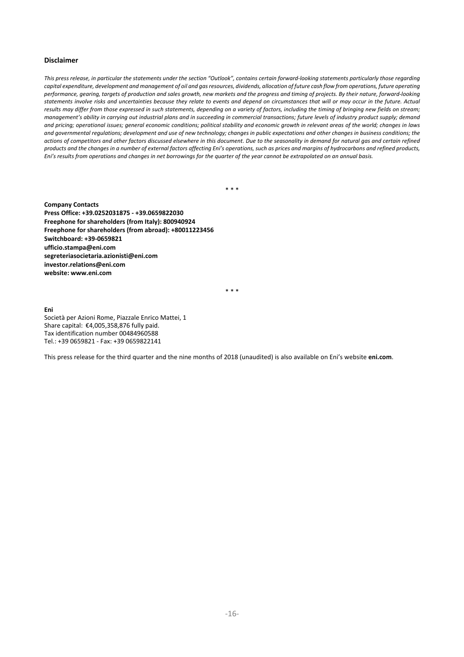#### **Disclaimer**

This press release, in particular the statements under the section "Outlook", contains certain forward-looking statements particularly those regarding capital expenditure, development and management of oil and gas resources, dividends, allocation of future cash flow from operations, future operating performance, gearing, targets of production and sales growth, new markets and the progress and timing of projects. By their nature, forward-looking statements involve risks and uncertainties because they relate to events and depend on circumstances that will or may occur in the future. Actual results may differ from those expressed in such statements, depending on a variety of factors, including the timing of bringing new fields on stream; management's ability in carrying out industrial plans and in succeeding in commercial transactions; future levels of industry product supply; demand and pricing; operational issues; general economic conditions; political stability and economic growth in relevant areas of the world; changes in laws and governmental regulations; development and use of new technology; changes in public expectations and other changes in business conditions; the actions of competitors and other factors discussed elsewhere in this document. Due to the seasonality in demand for natural gas and certain refined products and the changes in a number of external factors affecting Eni's operations, such as prices and margins of hydrocarbons and refined products, Eni's results from operations and changes in net borrowings for the quarter of the year cannot be extrapolated on an annual basis.

\* \* \*

**Company Contacts Press Office: +39.0252031875 ‐ +39.0659822030 Freephone for shareholders (from Italy): 800940924 Freephone for shareholders (from abroad): +80011223456 Switchboard: +39‐0659821 ufficio.stampa@eni.com segreteriasocietaria.azionisti@eni.com investor.relations@eni.com website: www.eni.com** 

\* \* \*

**Eni** Società per Azioni Rome, Piazzale Enrico Mattei, 1 Share capital: €4,005,358,876 fully paid. Tax identification number 00484960588 Tel.: +39 0659821 ‐ Fax: +39 0659822141

This press release for the third quarter and the nine months of 2018 (unaudited) is also available on Eni's website **eni.com**.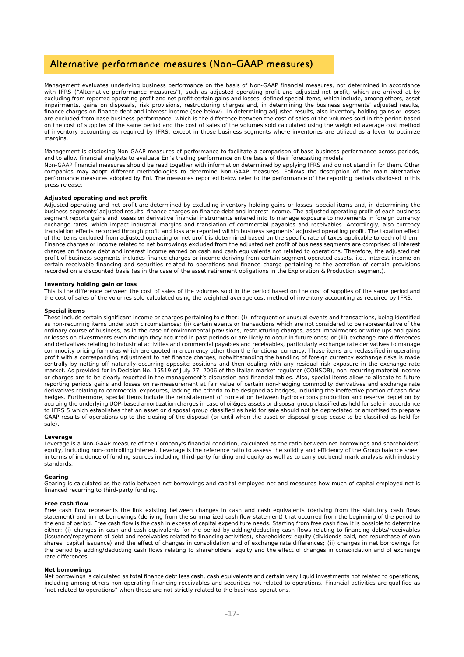## Alternative performance measures (Non-GAAP measures)

Management evaluates underlying business performance on the basis of Non-GAAP financial measures, not determined in accordance with IFRS ("Alternative performance measures"), such as adjusted operating profit and adjusted net profit, which are arrived at by excluding from reported operating profit and net profit certain gains and losses, defined special items, which include, among others, asset impairments, gains on disposals, risk provisions, restructuring charges and, in determining the business segments' adjusted results, finance charges on finance debt and interest income (see below). In determining adjusted results, also inventory holding gains or losses are excluded from base business performance, which is the difference between the cost of sales of the volumes sold in the period based on the cost of supplies of the same period and the cost of sales of the volumes sold calculated using the weighted average cost method of inventory accounting as required by IFRS, except in those business segments where inventories are utilized as a lever to optimize margins.

Management is disclosing Non-GAAP measures of performance to facilitate a comparison of base business performance across periods, and to allow financial analysts to evaluate Eni's trading performance on the basis of their forecasting models. Non-GAAP financial measures should be read together with information determined by applying IFRS and do not stand in for them. Other companies may adopt different methodologies to determine Non-GAAP measures. Follows the description of the main alternative performance measures adopted by Eni. The measures reported below refer to the performance of the reporting periods disclosed in this .<br>press release:

#### **Adjusted operating and net profit**

Adjusted operating and net profit are determined by excluding inventory holding gains or losses, special items and, in determining the business segments' adjusted results, finance charges on finance debt and interest income. The adjusted operating profit of each business segment reports gains and losses on derivative financial instruments entered into to manage exposure to movements in foreign currency exchange rates, which impact industrial margins and translation of commercial payables and receivables. Accordingly, also currency translation effects recorded through profit and loss are reported within business segments' adjusted operating profit. The taxation effect of the items excluded from adjusted operating or net profit is determined based on the specific rate of taxes applicable to each of them. Finance charges or income related to net borrowings excluded from the adjusted net profit of business segments are comprised of interest charges on finance debt and interest income earned on cash and cash equivalents not related to operations. Therefore, the adjusted net profit of business segments includes finance charges or income deriving from certain segment operated assets, i.e., interest income on certain receivable financing and securities related to operations and finance charge pertaining to the accretion of certain provisions recorded on a discounted basis (as in the case of the asset retirement obligations in the Exploration & Production segment).

#### **Inventory holding gain or loss**

This is the difference between the cost of sales of the volumes sold in the period based on the cost of supplies of the same period and the cost of sales of the volumes sold calculated using the weighted average cost method of inventory accounting as required by IFRS.

#### **Special items**

These include certain significant income or charges pertaining to either: (i) infrequent or unusual events and transactions, being identified as non-recurring items under such circumstances; (ii) certain events or transactions which are not considered to be representative of the ordinary course of business, as in the case of environmental provisions, restructuring charges, asset impairments or write ups and gains or losses on divestments even though they occurred in past periods or are likely to occur in future ones; or (iii) exchange rate differences and derivatives relating to industrial activities and commercial payables and receivables, particularly exchange rate derivatives to manage commodity pricing formulas which are quoted in a currency other than the functional currency. Those items are reclassified in operating profit with a corresponding adjustment to net finance charges, notwithstanding the handling of foreign currency exchange risks is made centrally by netting off naturally-occurring opposite positions and then dealing with any residual risk exposure in the exchange rate market. As provided for in Decision No. 15519 of July 27, 2006 of the Italian market regulator (CONSOB), non-recurring material income or charges are to be clearly reported in the management's discussion and financial tables. Also, special items allow to allocate to future reporting periods gains and losses on re-measurement at fair value of certain non-hedging commodity derivatives and exchange rate derivatives relating to commercial exposures, lacking the criteria to be designed as hedges, including the ineffective portion of cash flow hedges. Furthermore, special items include the reinstatement of correlation between hydrocarbons production and reserve depletion by accruing the underlying UOP-based amortization charges in case of oil&gas assets or disposal group classified as held for sale in accordance to IFRS 5 which establishes that an asset or disposal group classified as held for sale should not be depreciated or amortised to prepare GAAP results of operations up to the closing of the disposal (or until when the asset or disposal group cease to be classified as held for sale).

#### **Leverage**

Leverage is a Non-GAAP measure of the Company's financial condition, calculated as the ratio between net borrowings and shareholders' equity, including non-controlling interest. Leverage is the reference ratio to assess the solidity and efficiency of the Group balance sheet in terms of incidence of funding sources including third-party funding and equity as well as to carry out benchmark analysis with industry standards.

#### **Gearing**

Gearing is calculated as the ratio between net borrowings and capital employed net and measures how much of capital employed net is financed recurring to third-party funding.

#### **Free cash flow**

Free cash flow represents the link existing between changes in cash and cash equivalents (deriving from the statutory cash flows statement) and in net borrowings (deriving from the summarized cash flow statement) that occurred from the beginning of the period to the end of period. Free cash flow is the cash in excess of capital expenditure needs. Starting from free cash flow it is possible to determine either: (i) changes in cash and cash equivalents for the period by adding/deducting cash flows relating to financing debts/receivables (issuance/repayment of debt and receivables related to financing activities), shareholders' equity (dividends paid, net repurchase of own shares, capital issuance) and the effect of changes in consolidation and of exchange rate differences; (ii) changes in net borrowings for the period by adding/deducting cash flows relating to shareholders' equity and the effect of changes in consolidation and of exchange rate differences.

#### **Net borrowings**

Net borrowings is calculated as total finance debt less cash, cash equivalents and certain very liquid investments not related to operations, including among others non-operating financing receivables and securities not related to operations. Financial activities are qualified as "not related to operations" when these are not strictly related to the business operations.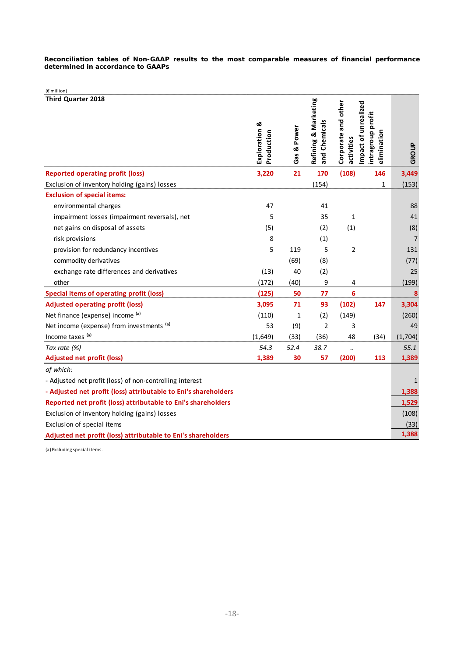**Reconciliation tables of Non-GAAP results to the most comparable measures of financial performance determined in accordance to GAAPs** 

| (€ million)                                                     |                             |             |                                       |                                   |                                                          |                |
|-----------------------------------------------------------------|-----------------------------|-------------|---------------------------------------|-----------------------------------|----------------------------------------------------------|----------------|
| <b>Third Quarter 2018</b>                                       | Exploration &<br>Production | Gas & Power | Refining & Marketing<br>and Chemicals | Corporate and other<br>activities | Impact of unrealized<br>intragroup profit<br>elimination | GROUP          |
| <b>Reported operating profit (loss)</b>                         | 3,220                       | 21          | 170                                   | (108)                             | 146                                                      | 3,449          |
| Exclusion of inventory holding (gains) losses                   |                             |             | (154)                                 |                                   | 1                                                        | (153)          |
| <b>Exclusion of special items:</b>                              |                             |             |                                       |                                   |                                                          |                |
| environmental charges                                           | 47                          |             | 41                                    |                                   |                                                          | 88             |
| impairment losses (impairment reversals), net                   | 5                           |             | 35                                    | $\mathbf{1}$                      |                                                          | 41             |
| net gains on disposal of assets                                 | (5)                         |             | (2)                                   | (1)                               |                                                          | (8)            |
| risk provisions                                                 | 8                           |             | (1)                                   |                                   |                                                          | $\overline{7}$ |
| provision for redundancy incentives                             | 5                           | 119         | 5                                     | $\overline{2}$                    |                                                          | 131            |
| commodity derivatives                                           |                             | (69)        | (8)                                   |                                   |                                                          | (77)           |
| exchange rate differences and derivatives                       | (13)                        | 40          | (2)                                   |                                   |                                                          | 25             |
| other                                                           | (172)                       | (40)        | 9                                     | 4                                 |                                                          | (199)          |
| <b>Special items of operating profit (loss)</b>                 | (125)                       | 50          | 77                                    | 6                                 |                                                          | 8              |
| <b>Adjusted operating profit (loss)</b>                         | 3,095                       | 71          | 93                                    | (102)                             | 147                                                      | 3,304          |
| Net finance (expense) income (a)                                | (110)                       | 1           | (2)                                   | (149)                             |                                                          | (260)          |
| Net income (expense) from investments (a)                       | 53                          | (9)         | 2                                     | 3                                 |                                                          | 49             |
| Income taxes (a)                                                | (1,649)                     | (33)        | (36)                                  | 48                                | (34)                                                     | (1,704)        |
| Tax rate (%)                                                    | 54.3                        | 52.4        | 38.7                                  | $\ddot{\phantom{0}}$              |                                                          | 55.1           |
| <b>Adjusted net profit (loss)</b>                               | 1,389                       | 30          | 57                                    | (200)                             | 113                                                      | 1,389          |
| of which:                                                       |                             |             |                                       |                                   |                                                          |                |
| - Adjusted net profit (loss) of non-controlling interest        |                             |             |                                       |                                   |                                                          | 1              |
| - Adjusted net profit (loss) attributable to Eni's shareholders |                             |             |                                       |                                   |                                                          | 1,388          |
| Reported net profit (loss) attributable to Eni's shareholders   |                             |             |                                       |                                   |                                                          | 1,529          |
| Exclusion of inventory holding (gains) losses                   |                             |             |                                       |                                   |                                                          | (108)          |
| Exclusion of special items                                      |                             |             |                                       |                                   |                                                          | (33)           |
| Adjusted net profit (loss) attributable to Eni's shareholders   |                             |             |                                       |                                   |                                                          | 1,388          |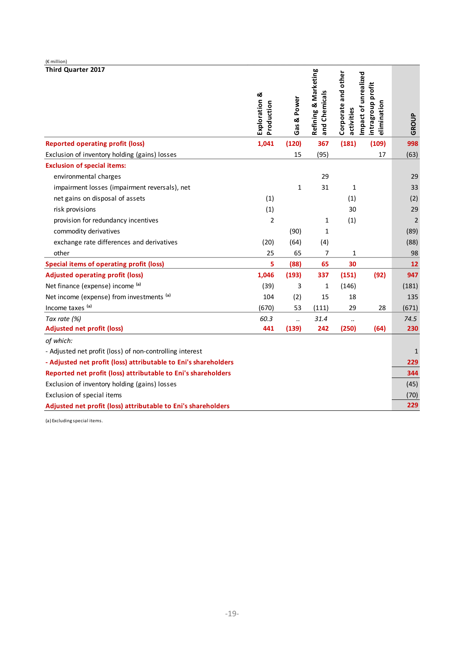| (€ million)                                                     |                             |                      |                                       |                                   |                                                          |                |
|-----------------------------------------------------------------|-----------------------------|----------------------|---------------------------------------|-----------------------------------|----------------------------------------------------------|----------------|
| <b>Third Quarter 2017</b>                                       | Exploration &<br>Production | Gas & Power          | Refining & Marketing<br>and Chemicals | Corporate and other<br>activities | Impact of unrealized<br>intragroup profit<br>elimination | GROUP          |
| <b>Reported operating profit (loss)</b>                         | 1,041                       | (120)                | 367                                   | (181)                             | (109)                                                    | 998            |
| Exclusion of inventory holding (gains) losses                   |                             | 15                   | (95)                                  |                                   | 17                                                       | (63)           |
| <b>Exclusion of special items:</b>                              |                             |                      |                                       |                                   |                                                          |                |
| environmental charges                                           |                             |                      | 29                                    |                                   |                                                          | 29             |
| impairment losses (impairment reversals), net                   |                             | 1                    | 31                                    | 1                                 |                                                          | 33             |
| net gains on disposal of assets                                 | (1)                         |                      |                                       | (1)                               |                                                          | (2)            |
| risk provisions                                                 | (1)                         |                      |                                       | 30                                |                                                          | 29             |
| provision for redundancy incentives                             | $\overline{2}$              |                      | 1                                     | (1)                               |                                                          | $\overline{2}$ |
| commodity derivatives                                           |                             | (90)                 | 1                                     |                                   |                                                          | (89)           |
| exchange rate differences and derivatives                       | (20)                        | (64)                 | (4)                                   |                                   |                                                          | (88)           |
| other                                                           | 25                          | 65                   | 7                                     | 1                                 |                                                          | 98             |
| <b>Special items of operating profit (loss)</b>                 | 5                           | (88)                 | 65                                    | 30                                |                                                          | 12             |
| <b>Adjusted operating profit (loss)</b>                         | 1,046                       | (193)                | 337                                   | (151)                             | (92)                                                     | 947            |
| Net finance (expense) income (a)                                | (39)                        | 3                    | 1                                     | (146)                             |                                                          | (181)          |
| Net income (expense) from investments (a)                       | 104                         | (2)                  | 15                                    | 18                                |                                                          | 135            |
| Income taxes (a)                                                | (670)                       | 53                   | (111)                                 | 29                                | 28                                                       | (671)          |
| Tax rate (%)                                                    | 60.3                        | $\ddot{\phantom{a}}$ | 31.4                                  | $\ddot{\phantom{a}}$              |                                                          | 74.5           |
| <b>Adjusted net profit (loss)</b>                               | 441                         | (139)                | 242                                   | (250)                             | (64)                                                     | 230            |
| of which:                                                       |                             |                      |                                       |                                   |                                                          |                |
| - Adjusted net profit (loss) of non-controlling interest        |                             |                      |                                       |                                   |                                                          | 1              |
| - Adjusted net profit (loss) attributable to Eni's shareholders |                             |                      |                                       |                                   |                                                          | 229            |
| Reported net profit (loss) attributable to Eni's shareholders   |                             |                      |                                       |                                   |                                                          | 344            |
| Exclusion of inventory holding (gains) losses                   |                             |                      |                                       |                                   |                                                          | (45)           |
| Exclusion of special items                                      |                             |                      |                                       |                                   |                                                          | (70)           |
| Adjusted net profit (loss) attributable to Eni's shareholders   |                             |                      |                                       |                                   |                                                          | 229            |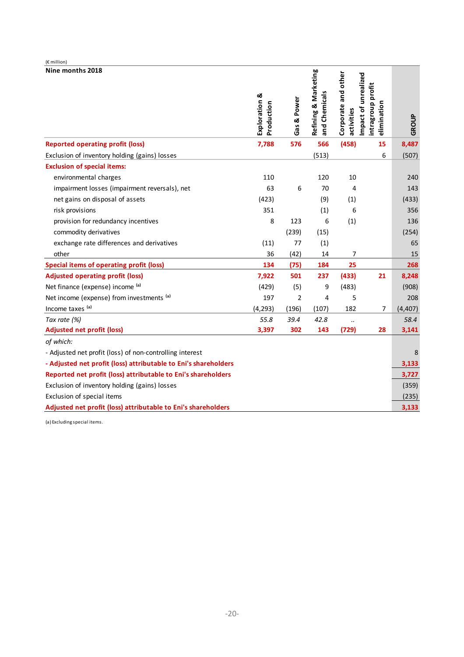| (€ million)                                                     |                             |                |                                       |                                   |                                                          |          |
|-----------------------------------------------------------------|-----------------------------|----------------|---------------------------------------|-----------------------------------|----------------------------------------------------------|----------|
| Nine months 2018                                                | Exploration &<br>Production | Gas & Power    | Refining & Marketing<br>and Chemicals | Corporate and other<br>activities | Impact of unrealized<br>intragroup profit<br>elimination | GROUP    |
| <b>Reported operating profit (loss)</b>                         | 7,788                       | 576            | 566                                   | (458)                             | 15                                                       | 8,487    |
| Exclusion of inventory holding (gains) losses                   |                             |                | (513)                                 |                                   | 6                                                        | (507)    |
| <b>Exclusion of special items:</b>                              |                             |                |                                       |                                   |                                                          |          |
| environmental charges                                           | 110                         |                | 120                                   | 10                                |                                                          | 240      |
| impairment losses (impairment reversals), net                   | 63                          | 6              | 70                                    | 4                                 |                                                          | 143      |
| net gains on disposal of assets                                 | (423)                       |                | (9)                                   | (1)                               |                                                          | (433)    |
| risk provisions                                                 | 351                         |                | (1)                                   | 6                                 |                                                          | 356      |
| provision for redundancy incentives                             | 8                           | 123            | 6                                     | (1)                               |                                                          | 136      |
| commodity derivatives                                           |                             | (239)          | (15)                                  |                                   |                                                          | (254)    |
| exchange rate differences and derivatives                       | (11)                        | 77             | (1)                                   |                                   |                                                          | 65       |
| other                                                           | 36                          | (42)           | 14                                    | 7                                 |                                                          | 15       |
| <b>Special items of operating profit (loss)</b>                 | 134                         | (75)           | 184                                   | 25                                |                                                          | 268      |
| <b>Adjusted operating profit (loss)</b>                         | 7,922                       | 501            | 237                                   | (433)                             | 21                                                       | 8,248    |
| Net finance (expense) income (a)                                | (429)                       | (5)            | 9                                     | (483)                             |                                                          | (908)    |
| Net income (expense) from investments (a)                       | 197                         | $\overline{2}$ | 4                                     | 5                                 |                                                          | 208      |
| Income taxes (a)                                                | (4, 293)                    | (196)          | (107)                                 | 182                               | 7                                                        | (4, 407) |
| Tax rate (%)                                                    | 55.8                        | 39.4           | 42.8                                  | $\ddot{\phantom{a}}$              |                                                          | 58.4     |
| <b>Adjusted net profit (loss)</b>                               | 3,397                       | 302            | 143                                   | (729)                             | 28                                                       | 3,141    |
| of which:                                                       |                             |                |                                       |                                   |                                                          |          |
| - Adjusted net profit (loss) of non-controlling interest        |                             |                |                                       |                                   |                                                          | 8        |
| - Adjusted net profit (loss) attributable to Eni's shareholders |                             |                |                                       |                                   |                                                          | 3,133    |
| Reported net profit (loss) attributable to Eni's shareholders   |                             |                |                                       |                                   |                                                          | 3,727    |
| Exclusion of inventory holding (gains) losses                   |                             |                |                                       |                                   |                                                          | (359)    |
| Exclusion of special items                                      |                             |                |                                       |                                   |                                                          | (235)    |
| Adjusted net profit (loss) attributable to Eni's shareholders   |                             |                |                                       |                                   |                                                          | 3,133    |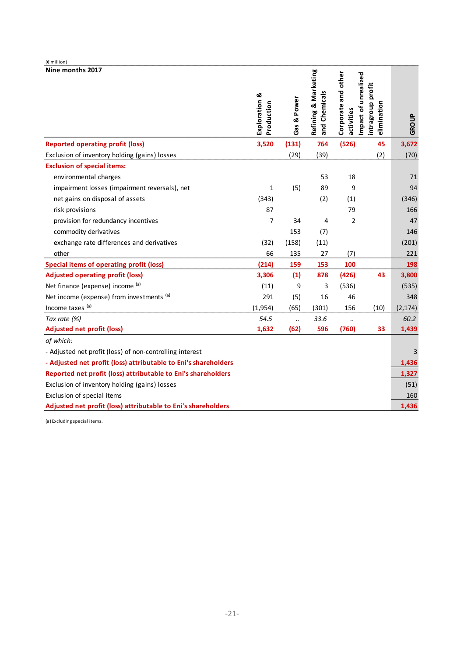| (€ million)                                                     |                             |             |                                       |                                   |                                                          |          |
|-----------------------------------------------------------------|-----------------------------|-------------|---------------------------------------|-----------------------------------|----------------------------------------------------------|----------|
| Nine months 2017                                                | Exploration &<br>Production | Gas & Power | Refining & Marketing<br>and Chemicals | Corporate and other<br>activities | Impact of unrealized<br>intragroup profit<br>elimination | GROUP    |
| <b>Reported operating profit (loss)</b>                         | 3,520                       | (131)       | 764                                   | (526)                             | 45                                                       | 3,672    |
| Exclusion of inventory holding (gains) losses                   |                             | (29)        | (39)                                  |                                   | (2)                                                      | (70)     |
| <b>Exclusion of special items:</b>                              |                             |             |                                       |                                   |                                                          |          |
| environmental charges                                           |                             |             | 53                                    | 18                                |                                                          | 71       |
| impairment losses (impairment reversals), net                   | $\mathbf{1}$                | (5)         | 89                                    | 9                                 |                                                          | 94       |
| net gains on disposal of assets                                 | (343)                       |             | (2)                                   | (1)                               |                                                          | (346)    |
| risk provisions                                                 | 87                          |             |                                       | 79                                |                                                          | 166      |
| provision for redundancy incentives                             | $\overline{7}$              | 34          | 4                                     | 2                                 |                                                          | 47       |
| commodity derivatives                                           |                             | 153         | (7)                                   |                                   |                                                          | 146      |
| exchange rate differences and derivatives                       | (32)                        | (158)       | (11)                                  |                                   |                                                          | (201)    |
| other                                                           | 66                          | 135         | 27                                    | (7)                               |                                                          | 221      |
| <b>Special items of operating profit (loss)</b>                 | (214)                       | 159         | 153                                   | 100                               |                                                          | 198      |
| <b>Adjusted operating profit (loss)</b>                         | 3,306                       | (1)         | 878                                   | (426)                             | 43                                                       | 3,800    |
| Net finance (expense) income (a)                                | (11)                        | 9           | 3                                     | (536)                             |                                                          | (535)    |
| Net income (expense) from investments (a)                       | 291                         | (5)         | 16                                    | 46                                |                                                          | 348      |
| Income taxes (a)                                                | (1,954)                     | (65)        | (301)                                 | 156                               | (10)                                                     | (2, 174) |
| Tax rate (%)                                                    | 54.5                        | $\ddotsc$   | 33.6                                  | $\ddot{\phantom{a}}$              |                                                          | 60.2     |
| <b>Adjusted net profit (loss)</b>                               | 1,632                       | (62)        | 596                                   | (760)                             | 33                                                       | 1,439    |
| of which:                                                       |                             |             |                                       |                                   |                                                          |          |
| - Adjusted net profit (loss) of non-controlling interest        |                             |             |                                       |                                   |                                                          |          |
| - Adjusted net profit (loss) attributable to Eni's shareholders |                             |             |                                       |                                   |                                                          | 1,436    |
| Reported net profit (loss) attributable to Eni's shareholders   |                             |             |                                       |                                   |                                                          | 1,327    |
| Exclusion of inventory holding (gains) losses                   |                             |             |                                       |                                   |                                                          | (51)     |
| Exclusion of special items                                      |                             |             |                                       |                                   |                                                          | 160      |
| Adjusted net profit (loss) attributable to Eni's shareholders   |                             |             |                                       |                                   |                                                          | 1,436    |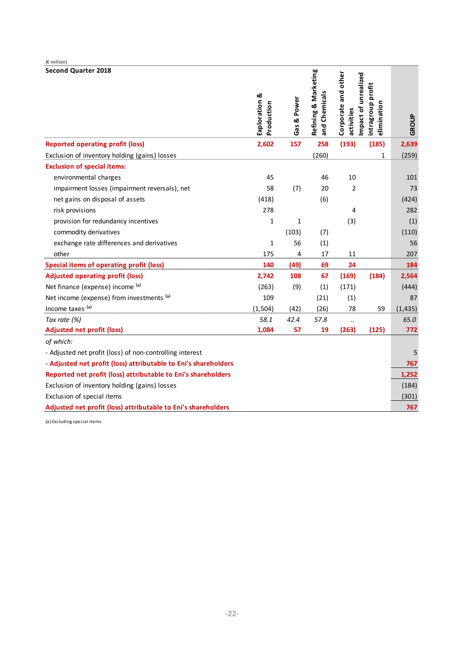| (€ million)                                                     |                             |             |                                       |                                                           |                                  |          |
|-----------------------------------------------------------------|-----------------------------|-------------|---------------------------------------|-----------------------------------------------------------|----------------------------------|----------|
| <b>Second Quarter 2018</b>                                      | Exploration &<br>Production | Gas & Power | Refining & Marketing<br>and Chemicals | Corporate and other<br>Impact of unrealized<br>activities | intragroup profit<br>elimination | GROUP    |
| <b>Reported operating profit (loss)</b>                         | 2,602                       | 157         | 258                                   | (193)                                                     | (185)                            | 2,639    |
| Exclusion of inventory holding (gains) losses                   |                             |             | (260)                                 |                                                           | $\mathbf{1}$                     | (259)    |
| <b>Exclusion of special items:</b>                              |                             |             |                                       |                                                           |                                  |          |
| environmental charges                                           | 45                          |             | 46                                    | 10                                                        |                                  | 101      |
| impairment losses (impairment reversals), net                   | 58                          | (7)         | 20                                    | $\overline{2}$                                            |                                  | 73       |
| net gains on disposal of assets                                 | (418)                       |             | (6)                                   |                                                           |                                  | (424)    |
| risk provisions                                                 | 278                         |             |                                       | 4                                                         |                                  | 282      |
| provision for redundancy incentives                             | $\mathbf{1}$                | 1           |                                       | (3)                                                       |                                  | (1)      |
| commodity derivatives                                           |                             | (103)       | (7)                                   |                                                           |                                  | (110)    |
| exchange rate differences and derivatives                       | $\mathbf{1}$                | 56          | (1)                                   |                                                           |                                  | 56       |
| other                                                           | 175                         | 4           | 17                                    | 11                                                        |                                  | 207      |
| <b>Special items of operating profit (loss)</b>                 | 140                         | (49)        | 69                                    | 24                                                        |                                  | 184      |
| <b>Adjusted operating profit (loss)</b>                         | 2,742                       | 108         | 67                                    | (169)                                                     | (184)                            | 2,564    |
| Net finance (expense) income (a)                                | (263)                       | (9)         | (1)                                   | (171)                                                     |                                  | (444)    |
| Net income (expense) from investments (a)                       | 109                         |             | (21)                                  | (1)                                                       |                                  | 87       |
| Income taxes (a)                                                | (1, 504)                    | (42)        | (26)                                  | 78                                                        | 59                               | (1, 435) |
| Tax rate (%)                                                    | 58.1                        | 42.4        | 57.8                                  | $\ddot{\phantom{a}}$                                      |                                  | 65.0     |
| <b>Adjusted net profit (loss)</b>                               | 1,084                       | 57          | 19                                    | (263)                                                     | (125)                            | 772      |
| of which:                                                       |                             |             |                                       |                                                           |                                  |          |
| - Adjusted net profit (loss) of non-controlling interest        |                             |             |                                       |                                                           |                                  | 5        |
| - Adjusted net profit (loss) attributable to Eni's shareholders |                             |             |                                       |                                                           |                                  | 767      |
| Reported net profit (loss) attributable to Eni's shareholders   |                             |             |                                       |                                                           |                                  | 1,252    |
| Exclusion of inventory holding (gains) losses                   |                             |             |                                       |                                                           |                                  | (184)    |
| Exclusion of special items                                      |                             |             |                                       |                                                           |                                  | (301)    |
| Adjusted net profit (loss) attributable to Eni's shareholders   |                             |             |                                       |                                                           |                                  | 767      |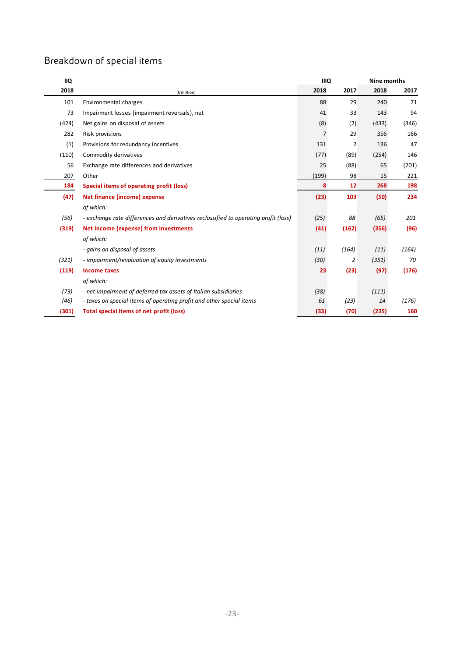# Breakdown of special items

| <b>IIQ</b> |                                                                                     | <b>IIIQ</b> |                | Nine months |       |  |
|------------|-------------------------------------------------------------------------------------|-------------|----------------|-------------|-------|--|
| 2018       | (€ million)                                                                         | 2018        | 2017           | 2018        | 2017  |  |
| 101        | Environmental charges                                                               | 88          | 29             | 240         | 71    |  |
| 73         | Impairment losses (impairment reversals), net                                       | 41          | 33             | 143         | 94    |  |
| (424)      | Net gains on disposal of assets                                                     | (8)         | (2)            | (433)       | (346) |  |
| 282        | Risk provisions                                                                     | 7           | 29             | 356         | 166   |  |
| (1)        | Provisions for redundancy incentives                                                | 131         | $\overline{2}$ | 136         | 47    |  |
| (110)      | Commodity derivatives                                                               | (77)        | (89)           | (254)       | 146   |  |
| 56         | Exchange rate differences and derivatives                                           | 25          | (88)           | 65          | (201) |  |
| 207        | Other                                                                               | (199)       | 98             | 15          | 221   |  |
| 184        | Special items of operating profit (loss)                                            | 8           | 12             | 268         | 198   |  |
| (47)       | Net finance (income) expense                                                        | (23)        | 103            | (50)        | 234   |  |
|            | of which:                                                                           |             |                |             |       |  |
| (56)       | - exchange rate differences and derivatives reclassified to operating profit (loss) | (25)        | 88             | (65)        | 201   |  |
| (319)      | Net income (expense) from investments                                               | (41)        | (162)          | (356)       | (96)  |  |
|            | of which:                                                                           |             |                |             |       |  |
|            | - gains on disposal of assets                                                       | (11)        | (164)          | (11)        | (164) |  |
| (321)      | - impairment/revaluation of equity investments                                      | (30)        | 2              | (351)       | 70    |  |
| (119)      | <b>Income taxes</b>                                                                 | 23          | (23)           | (97)        | (176) |  |
|            | of which:                                                                           |             |                |             |       |  |
| (73)       | - net impairment of deferred tax assets of Italian subsidiaries                     | (38)        |                | (111)       |       |  |
| (46)       | - taxes on special items of operating profit and other special items                | 61          | (23)           | 14          | (176) |  |
| (301)      | Total special items of net profit (loss)                                            | (33)        | (70)           | (235)       | 160   |  |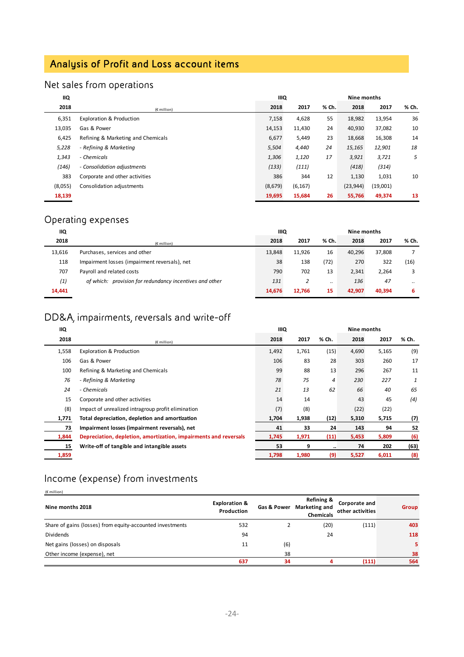# Analysis of Profit and Loss account items

# Net sales from operations

| IIQ     |                                     | IIIQ<br>Nine months |          |       |           |          |       |
|---------|-------------------------------------|---------------------|----------|-------|-----------|----------|-------|
| 2018    | $(E$ million)                       | 2018                | 2017     | % Ch. | 2018      | 2017     | % Ch. |
| 6,351   | <b>Exploration &amp; Production</b> | 7,158               | 4,628    | 55    | 18,982    | 13,954   | 36    |
| 13,035  | Gas & Power                         | 14,153              | 11,430   | 24    | 40,930    | 37,082   | 10    |
| 6,425   | Refining & Marketing and Chemicals  | 6,677               | 5,449    | 23    | 18,668    | 16,308   | 14    |
| 5,228   | - Refining & Marketing              | 5,504               | 4,440    | 24    | 15,165    | 12,901   | 18    |
| 1,343   | - Chemicals                         | 1,306               | 1,120    | 17    | 3,921     | 3,721    | 5     |
| (146)   | - Consolidation adjustments         | (133)               | (111)    |       | (418)     | (314)    |       |
| 383     | Corporate and other activities      | 386                 | 344      | 12    | 1,130     | 1,031    | 10    |
| (8,055) | Consolidation adjustments           | (8,679)             | (6, 167) |       | (23, 944) | (19,001) |       |
| 18,139  |                                     | 19,695              | 15,684   | 26    | 55,766    | 49,374   | 13    |

# Operating expenses

| IIQ    |                                                         | <b>IIIQ</b><br>Nine months |        |       |        |        |       |
|--------|---------------------------------------------------------|----------------------------|--------|-------|--------|--------|-------|
| 2018   | $(E$ million)                                           | 2018                       | 2017   | % Ch. | 2018   | 2017   | % Ch. |
| 13,616 | Purchases, services and other                           | 13,848                     | 11,926 | 16    | 40.296 | 37.808 |       |
| 118    | Impairment losses (impairment reversals), net           | 38                         | 138    | (72)  | 270    | 322    | (16)  |
| 707    | Payroll and related costs                               | 790                        | 702    | 13    | 2,341  | 2.264  |       |
| (1)    | of which: provision for redundancy incentives and other | 131                        | 2      |       | 136    | 47     |       |
| 14,441 |                                                         | 14,676                     | 12,766 | 15    | 42.907 | 40.394 | 6     |

# DD&A, impairments, reversals and write-off

| <b>IIQ</b> |                                                                  | <b>IIIQ</b> |       | Nine months |       |       |       |
|------------|------------------------------------------------------------------|-------------|-------|-------------|-------|-------|-------|
| 2018       | $(E \text{ million})$                                            | 2018        | 2017  | % Ch.       | 2018  | 2017  | % Ch. |
| 1,558      | <b>Exploration &amp; Production</b>                              | 1,492       | 1,761 | (15)        | 4,690 | 5,165 | (9)   |
| 106        | Gas & Power                                                      | 106         | 83    | 28          | 303   | 260   | 17    |
| 100        | Refining & Marketing and Chemicals                               | 99          | 88    | 13          | 296   | 267   | 11    |
| 76         | - Refining & Marketing                                           | 78          | 75    | 4           | 230   | 227   | 1     |
| 24         | - Chemicals                                                      | 21          | 13    | 62          | 66    | 40    | 65    |
| 15         | Corporate and other activities                                   | 14          | 14    |             | 43    | 45    | (4)   |
| (8)        | Impact of unrealized intragroup profit elimination               | (7)         | (8)   |             | (22)  | (22)  |       |
| 1,771      | Total depreciation, depletion and amortization                   | 1,704       | 1,938 | (12)        | 5,310 | 5,715 | (7)   |
| 73         | Impairment losses (impairment reversals), net                    | 41          | 33    | 24          | 143   | 94    | 52    |
| 1,844      | Depreciation, depletion, amortization, impairments and reversals | 1,745       | 1,971 | (11)        | 5,453 | 5,809 | (6)   |
| 15         | Write-off of tangible and intangible assets                      | 53          | 9     |             | 74    | 202   | (63)  |
| 1,859      |                                                                  | 1,798       | 1,980 | (9)         | 5,527 | 6,011 | (8)   |

# Income (expense) from investments

| (€ million)                                               |                                        |             |                                                            |                                   |       |
|-----------------------------------------------------------|----------------------------------------|-------------|------------------------------------------------------------|-----------------------------------|-------|
| Nine months 2018                                          | <b>Exploration &amp;</b><br>Production | Gas & Power | <b>Refining &amp;</b><br>Marketing and<br><b>Chemicals</b> | Corporate and<br>other activities | Group |
| Share of gains (losses) from equity-accounted investments | 532                                    |             | (20)                                                       | (111)                             | 403   |
| <b>Dividends</b>                                          | 94                                     |             | 24                                                         |                                   | 118   |
| Net gains (losses) on disposals                           | 11                                     | (6)         |                                                            |                                   | 5.    |
| Other income (expense), net                               |                                        | 38          |                                                            |                                   | 38    |
|                                                           | 637                                    | 34          |                                                            | (111)                             | 564   |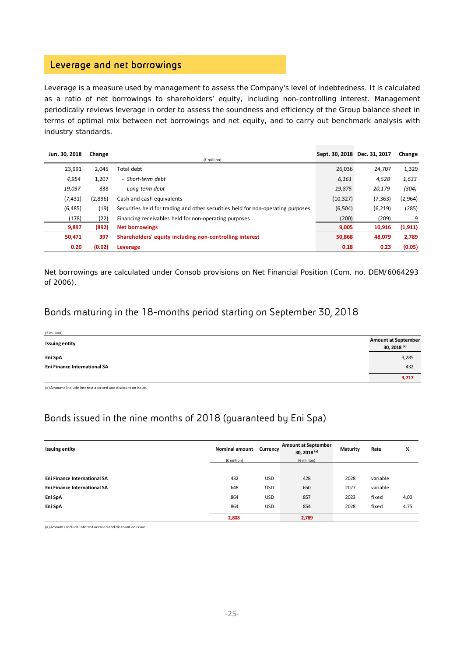## Leverage and net borrowings

Leverage is a measure used by management to assess the Company's level of indebtedness. It is calculated as a ratio of net borrowings to shareholders' equity, including non-controlling interest. Management periodically reviews leverage in order to assess the soundness and efficiency of the Group balance sheet in terms of optimal mix between net borrowings and net equity, and to carry out benchmark analysis with industry standards.

| Jun. 30, 2018 | Change  |                                                                                  | Sept. 30, 2018 Dec. 31, 2017 |          | Change   |
|---------------|---------|----------------------------------------------------------------------------------|------------------------------|----------|----------|
|               |         | $(E$ million)                                                                    |                              |          |          |
| 23,991        | 2,045   | Total debt                                                                       | 26,036                       | 24,707   | 1,329    |
| 4,954         | 1,207   | - Short-term debt                                                                | 6,161                        | 4,528    | 1,633    |
| 19,037        | 838     | - Lona-term debt                                                                 | 19,875                       | 20,179   | (304)    |
| (7, 431)      | (2,896) | Cash and cash equivalents                                                        | (10, 327)                    | (7, 363) | (2,964)  |
| (6, 485)      | (19)    | Securities held for trading and other securities held for non-operating purposes | (6,504)                      | (6, 219) | (285)    |
| (178)         | (22)    | Financing receivables held for non-operating purposes                            | (200)                        | (209)    | 9        |
| 9,897         | (892)   | <b>Net borrowings</b>                                                            | 9,005                        | 10,916   | (1, 911) |
| 50,471        | 397     | Shareholders' equity including non-controlling interest                          | 50,868                       | 48,079   | 2,789    |
| 0.20          | (0.02)  | Leverage                                                                         | 0.18                         | 0.23     | (0.05)   |

Net borrowings are calculated under Consob provisions on Net Financial Position (Com. no. DEM/6064293 of 2006).

### Bonds maturing in the 18-months period starting on September 30, 2018

| (€ million)                  |                                            |
|------------------------------|--------------------------------------------|
| <b>Issuing entity</b>        | <b>Amount at September</b><br>30, 2018 (a) |
| Eni SpA                      | 3,285                                      |
| Eni Finance International SA | 432                                        |
|                              | 3,717                                      |

(a) Amounts include interest accrued and discount on issue.

## Bonds issued in the nine months of 2018 (guaranteed by Eni Spa)

| <b>Issuing entity</b>               | <b>Nominal amount</b> | Currency   | <b>Amount at September</b><br>30, 2018 <sup>(a)</sup> | Maturity | Rate     | %    |
|-------------------------------------|-----------------------|------------|-------------------------------------------------------|----------|----------|------|
|                                     | $(E$ million)         |            | $(E \text{ million})$                                 |          |          |      |
|                                     |                       |            |                                                       |          |          |      |
| Eni Finance International SA        | 432                   | <b>USD</b> | 428                                                   | 2028     | variable |      |
| <b>Eni Finance International SA</b> | 648                   | <b>USD</b> | 650                                                   | 2027     | variable |      |
| Eni SpA                             | 864                   | <b>USD</b> | 857                                                   | 2023     | fixed    | 4.00 |
| Eni SpA                             | 864                   | <b>USD</b> | 854                                                   | 2028     | fixed    | 4.75 |
|                                     | 2,808                 |            | 2,789                                                 |          |          |      |

(a)Amounts include interest accrued and discount on issue.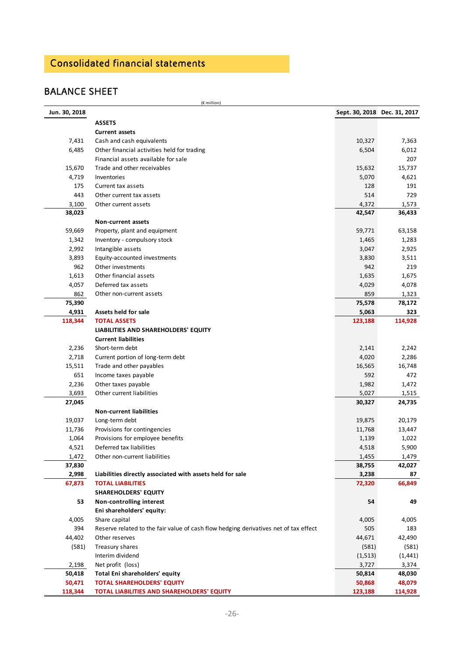# Consolidated financial statements

## BALANCE SHEET

(€ million)

| Jun. 30, 2018 |                                                                                      | Sept. 30, 2018 Dec. 31, 2017 |          |
|---------------|--------------------------------------------------------------------------------------|------------------------------|----------|
|               | <b>ASSETS</b>                                                                        |                              |          |
|               | <b>Current assets</b>                                                                |                              |          |
| 7,431         | Cash and cash equivalents                                                            | 10,327                       | 7,363    |
| 6,485         | Other financial activities held for trading                                          | 6,504                        | 6,012    |
|               | Financial assets available for sale                                                  |                              | 207      |
| 15,670        | Trade and other receivables                                                          | 15,632                       | 15,737   |
| 4,719         | Inventories                                                                          | 5,070                        | 4,621    |
| 175           | Current tax assets                                                                   | 128                          | 191      |
| 443           | Other current tax assets                                                             | 514                          | 729      |
| 3,100         | Other current assets                                                                 | 4,372                        | 1,573    |
| 38,023        |                                                                                      | 42,547                       | 36,433   |
|               | <b>Non-current assets</b>                                                            |                              |          |
| 59,669        | Property, plant and equipment                                                        | 59,771                       | 63,158   |
| 1,342         | Inventory - compulsory stock                                                         | 1,465                        | 1,283    |
| 2,992         | Intangible assets                                                                    | 3,047                        | 2,925    |
| 3,893         | Equity-accounted investments                                                         | 3,830                        | 3,511    |
| 962           | Other investments                                                                    | 942                          | 219      |
| 1,613         | Other financial assets                                                               | 1,635                        | 1,675    |
| 4,057         | Deferred tax assets                                                                  | 4,029                        | 4,078    |
| 862           | Other non-current assets                                                             | 859                          | 1,323    |
| 75,390        |                                                                                      | 75,578                       | 78,172   |
| 4,931         | Assets held for sale                                                                 | 5,063                        | 323      |
| 118,344       | <b>TOTAL ASSETS</b>                                                                  | 123,188                      | 114,928  |
|               | LIABILITIES AND SHAREHOLDERS' EQUITY                                                 |                              |          |
|               | <b>Current liabilities</b>                                                           |                              |          |
| 2,236         | Short-term debt                                                                      | 2,141                        | 2,242    |
| 2,718         | Current portion of long-term debt                                                    | 4,020                        | 2,286    |
| 15,511        | Trade and other payables                                                             | 16,565                       | 16,748   |
| 651           | Income taxes payable                                                                 | 592                          | 472      |
| 2,236         | Other taxes payable                                                                  | 1,982                        | 1,472    |
| 3,693         | Other current liabilities                                                            | 5,027                        | 1,515    |
| 27,045        |                                                                                      | 30,327                       | 24,735   |
|               | <b>Non-current liabilities</b>                                                       |                              |          |
| 19,037        | Long-term debt                                                                       | 19,875                       | 20,179   |
| 11,736        | Provisions for contingencies                                                         | 11,768                       | 13,447   |
| 1,064         | Provisions for employee benefits                                                     | 1,139                        | 1,022    |
| 4,521         | Deferred tax liabilities                                                             | 4,518                        | 5,900    |
| 1,472         | Other non-current liabilities                                                        | 1,455                        | 1,479    |
| 37,830        |                                                                                      | 38,755                       | 42,027   |
| 2,998         | Liabilities directly associated with assets held for sale                            | 3,238                        | 87       |
| 67,873        | <b>TOTAL LIABILITIES</b>                                                             | 72,320                       | 66,849   |
|               | <b>SHAREHOLDERS' EQUITY</b>                                                          |                              |          |
| 53            | Non-controlling interest                                                             | 54                           | 49       |
|               | Eni shareholders' equity:                                                            |                              |          |
| 4,005         | Share capital                                                                        | 4,005                        | 4,005    |
| 394           | Reserve related to the fair value of cash flow hedging derivatives net of tax effect | 505                          | 183      |
| 44,402        | Other reserves                                                                       | 44,671                       | 42,490   |
| (581)         | Treasury shares                                                                      | (581)                        | (581)    |
|               | Interim dividend                                                                     | (1, 513)                     | (1, 441) |
| 2,198         | Net profit (loss)                                                                    | 3,727                        | 3,374    |
| 50,418        | Total Eni shareholders' equity                                                       | 50,814                       | 48,030   |
| 50,471        | <b>TOTAL SHAREHOLDERS' EQUITY</b>                                                    | 50,868                       | 48,079   |
| 118,344       | TOTAL LIABILITIES AND SHAREHOLDERS' EQUITY                                           | 123,188                      | 114,928  |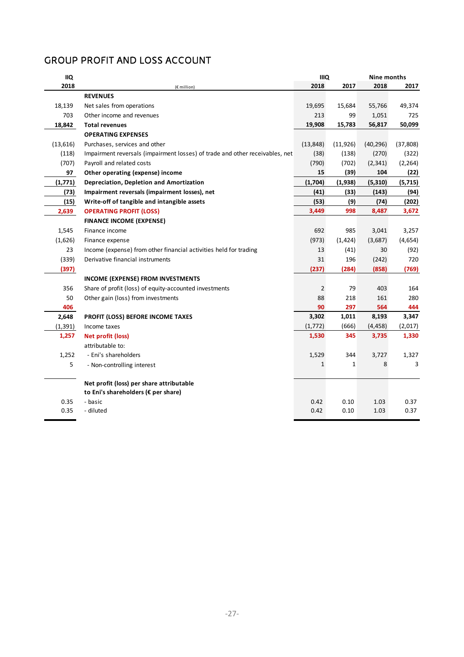# GROUP PROFIT AND LOSS ACCOUNT

| <b>IIQ</b> |                                                                              |                | <b>IIIQ</b><br>Nine months |           |           |
|------------|------------------------------------------------------------------------------|----------------|----------------------------|-----------|-----------|
| 2018       | (€ million)                                                                  | 2018           | 2017                       | 2018      | 2017      |
|            | <b>REVENUES</b>                                                              |                |                            |           |           |
| 18,139     | Net sales from operations                                                    | 19,695         | 15,684                     | 55,766    | 49,374    |
| 703        | Other income and revenues                                                    | 213            | 99                         | 1,051     | 725       |
| 18,842     | <b>Total revenues</b>                                                        | 19,908         | 15,783                     | 56,817    | 50,099    |
|            | <b>OPERATING EXPENSES</b>                                                    |                |                            |           |           |
| (13,616)   | Purchases, services and other                                                | (13, 848)      | (11, 926)                  | (40, 296) | (37, 808) |
| (118)      | Impairment reversals (impairment losses) of trade and other receivables, net | (38)           | (138)                      | (270)     | (322)     |
| (707)      | Payroll and related costs                                                    | (790)          | (702)                      | (2, 341)  | (2, 264)  |
| 97         | Other operating (expense) income                                             | 15             | (39)                       | 104       | (22)      |
| (1,771)    | Depreciation, Depletion and Amortization                                     | (1,704)        | (1,938)                    | (5, 310)  | (5, 715)  |
| (73)       | Impairment reversals (impairment losses), net                                | (41)           | (33)                       | (143)     | (94)      |
| (15)       | Write-off of tangible and intangible assets                                  | (53)           | (9)                        | (74)      | (202)     |
| 2,639      | <b>OPERATING PROFIT (LOSS)</b>                                               | 3,449          | 998                        | 8,487     | 3,672     |
|            | <b>FINANCE INCOME (EXPENSE)</b>                                              |                |                            |           |           |
| 1,545      | Finance income                                                               | 692            | 985                        | 3,041     | 3,257     |
| (1,626)    | Finance expense                                                              | (973)          | (1, 424)                   | (3,687)   | (4,654)   |
| 23         | Income (expense) from other financial activities held for trading            | 13             | (41)                       | 30        | (92)      |
| (339)      | Derivative financial instruments                                             | 31             | 196                        | (242)     | 720       |
| (397)      |                                                                              | (237)          | (284)                      | (858)     | (769)     |
|            | <b>INCOME (EXPENSE) FROM INVESTMENTS</b>                                     |                |                            |           |           |
| 356        | Share of profit (loss) of equity-accounted investments                       | $\overline{2}$ | 79                         | 403       | 164       |
| 50         | Other gain (loss) from investments                                           | 88             | 218                        | 161       | 280       |
| 406        |                                                                              | 90             | 297                        | 564       | 444       |
| 2,648      | PROFIT (LOSS) BEFORE INCOME TAXES                                            | 3,302          | 1,011                      | 8,193     | 3,347     |
| (1, 391)   | Income taxes                                                                 | (1,772)        | (666)                      | (4, 458)  | (2,017)   |
| 1,257      | Net profit (loss)                                                            | 1,530          | 345                        | 3,735     | 1,330     |
|            | attributable to:                                                             |                |                            |           |           |
| 1,252      | - Eni's shareholders                                                         | 1,529          | 344                        | 3,727     | 1,327     |
| 5          | - Non-controlling interest                                                   | $\mathbf{1}$   | $\mathbf{1}$               | 8         | 3         |
|            | Net profit (loss) per share attributable                                     |                |                            |           |           |
|            | to Eni's shareholders (€ per share)                                          |                |                            |           |           |
| 0.35       | - basic                                                                      | 0.42           | 0.10                       | 1.03      | 0.37      |
| 0.35       | - diluted                                                                    | 0.42           | 0.10                       | 1.03      | 0.37      |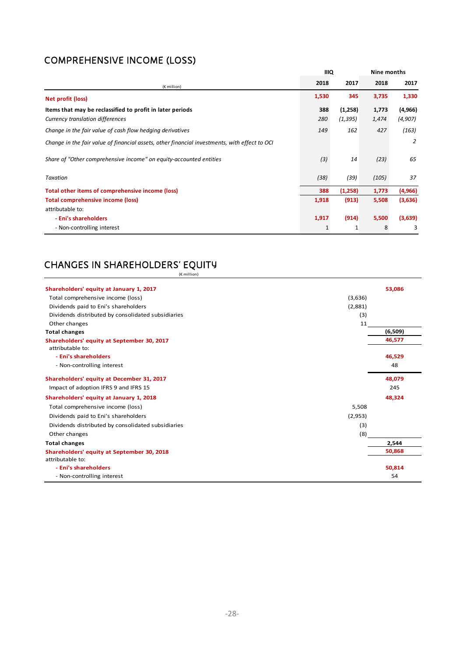# COMPREHENSIVE INCOME (LOSS)

|                                                                                               | <b>IIIQ</b> |          | Nine months |          |
|-----------------------------------------------------------------------------------------------|-------------|----------|-------------|----------|
| (€ million)                                                                                   | 2018        | 2017     | 2018        | 2017     |
| Net profit (loss)                                                                             | 1,530       | 345      | 3,735       | 1,330    |
| Items that may be reclassified to profit in later periods                                     | 388         | (1,258)  | 1,773       | (4, 966) |
| Currency translation differences                                                              | 280         | (1, 395) | 1,474       | (4, 907) |
| Change in the fair value of cash flow hedging derivatives                                     | 149         | 162      | 427         | (163)    |
| Change in the fair value of financial assets, other financial investments, with effect to OCI |             |          |             | 2        |
| Share of "Other comprehensive income" on equity-accounted entities                            | (3)         | 14       | (23)        | 65       |
| Taxation                                                                                      | (38)        | (39)     | (105)       | 37       |
| Total other items of comprehensive income (loss)                                              | 388         | (1,258)  | 1,773       | (4,966)  |
| <b>Total comprehensive income (loss)</b>                                                      | 1,918       | (913)    | 5,508       | (3,636)  |
| attributable to:                                                                              |             |          |             |          |
| - Eni's shareholders                                                                          | 1,917       | (914)    | 5,500       | (3,639)  |
| - Non-controlling interest                                                                    | 1           | 1        | 8           | 3        |

# CHANGES IN SHAREHOLDERS' EQUITY

(€ million)

| Shareholders' equity at January 1, 2017                        |         | 53,086  |
|----------------------------------------------------------------|---------|---------|
| Total comprehensive income (loss)                              | (3,636) |         |
| Dividends paid to Eni's shareholders                           | (2,881) |         |
| Dividends distributed by consolidated subsidiaries             | (3)     |         |
| Other changes                                                  | 11      |         |
| <b>Total changes</b>                                           |         | (6,509) |
| Shareholders' equity at September 30, 2017<br>attributable to: |         | 46,577  |
| - Eni's shareholders                                           |         | 46,529  |
| - Non-controlling interest                                     |         | 48      |
| Shareholders' equity at December 31, 2017                      |         | 48,079  |
| Impact of adoption IFRS 9 and IFRS 15                          |         | 245     |
| Shareholders' equity at January 1, 2018                        |         | 48,324  |
| Total comprehensive income (loss)                              | 5,508   |         |
| Dividends paid to Eni's shareholders                           | (2,953) |         |
| Dividends distributed by consolidated subsidiaries             | (3)     |         |
| Other changes                                                  | (8)     |         |
| <b>Total changes</b>                                           |         | 2.544   |
| Shareholders' equity at September 30, 2018                     |         | 50,868  |
| attributable to:                                               |         |         |
| - Eni's shareholders                                           |         | 50,814  |
| - Non-controlling interest                                     |         | 54      |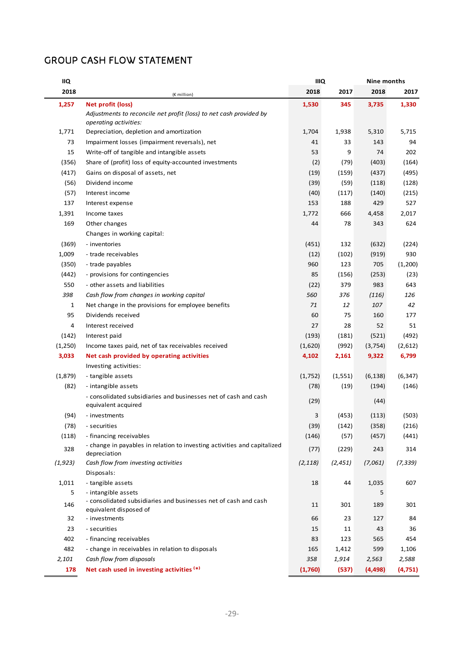# GROUP CASH FLOW STATEMENT

| IIQ      |                                                                                                    | <b>IIIQ</b> |          | Nine months |          |
|----------|----------------------------------------------------------------------------------------------------|-------------|----------|-------------|----------|
| 2018     | (€ million)                                                                                        | 2018        | 2017     | 2018        | 2017     |
| 1,257    | Net profit (loss)                                                                                  | 1,530       | 345      | 3,735       | 1,330    |
|          | Adjustments to reconcile net profit (loss) to net cash provided by<br><i>operating activities:</i> |             |          |             |          |
| 1,771    | Depreciation, depletion and amortization                                                           | 1,704       | 1,938    | 5,310       | 5,715    |
| 73       | Impairment losses (impairment reversals), net                                                      | 41          | 33       | 143         | 94       |
| 15       | Write-off of tangible and intangible assets                                                        | 53          | 9        | 74          | 202      |
| (356)    | Share of (profit) loss of equity-accounted investments                                             | (2)         | (79)     | (403)       | (164)    |
| (417)    | Gains on disposal of assets, net                                                                   | (19)        | (159)    | (437)       | (495)    |
| (56)     | Dividend income                                                                                    | (39)        | (59)     | (118)       | (128)    |
| (57)     | Interest income                                                                                    | (40)        | (117)    | (140)       | (215)    |
| 137      | Interest expense                                                                                   | 153         | 188      | 429         | 527      |
| 1,391    | Income taxes                                                                                       | 1,772       | 666      | 4,458       | 2,017    |
| 169      | Other changes                                                                                      | 44          | 78       | 343         | 624      |
|          | Changes in working capital:                                                                        |             |          |             |          |
| (369)    | - inventories                                                                                      | (451)       | 132      | (632)       | (224)    |
| 1,009    | - trade receivables                                                                                | (12)        | (102)    | (919)       | 930      |
| (350)    | - trade payables                                                                                   | 960         | 123      | 705         | (1,200)  |
| (442)    | - provisions for contingencies                                                                     | 85          | (156)    | (253)       | (23)     |
| 550      | - other assets and liabilities                                                                     | (22)        | 379      | 983         | 643      |
| 398      | Cash flow from changes in working capital                                                          | 560         | 376      | (116)       | 126      |
| 1        | Net change in the provisions for employee benefits                                                 | 71          | 12       | 107         | 42       |
| 95       | Dividends received                                                                                 | 60          | 75       | 160         | 177      |
| 4        | Interest received                                                                                  | 27          | 28       | 52          | 51       |
| (142)    | Interest paid                                                                                      | (193)       | (181)    | (521)       | (492)    |
| (1,250)  | Income taxes paid, net of tax receivables received                                                 | (1,620)     | (992)    | (3, 754)    | (2,612)  |
| 3,033    | Net cash provided by operating activities                                                          | 4,102       | 2,161    | 9,322       | 6,799    |
|          | Investing activities:                                                                              |             |          |             |          |
| (1,879)  | - tangible assets                                                                                  | (1,752)     | (1, 551) | (6, 138)    | (6, 347) |
| (82)     | - intangible assets                                                                                | (78)        | (19)     | (194)       | (146)    |
|          | - consolidated subsidiaries and businesses net of cash and cash<br>equivalent acquired             | (29)        |          | (44)        |          |
| (94)     | - investments                                                                                      | 3           | (453)    | (113)       | (503)    |
| (78)     | - securities                                                                                       | (39)        | (142)    | (358)       | (216)    |
| (118)    | - financing receivables                                                                            | (146)       | (57)     | (457)       | (441)    |
| 328      | - change in payables in relation to investing activities and capitalized<br>depreciation           | (77)        | (229)    | 243         | 314      |
| (1, 923) | Cash flow from investing activities<br>Disposals:                                                  | (2, 118)    | (2, 451) | (7,061)     | (7, 339) |
| 1,011    | - tangible assets                                                                                  | 18          | 44       | 1,035       | 607      |
| 5        | - intangible assets                                                                                |             |          | 5           |          |
| 146      | - consolidated subsidiaries and businesses net of cash and cash<br>equivalent disposed of          | 11          | 301      | 189         | 301      |
| 32       | - investments                                                                                      | 66          | 23       | 127         | 84       |
| 23       | - securities                                                                                       | 15          | 11       | 43          | 36       |
| 402      | - financing receivables                                                                            | 83          | 123      | 565         | 454      |
| 482      | - change in receivables in relation to disposals                                                   | 165         | 1,412    | 599         | 1,106    |
| 2,101    | Cash flow from disposals                                                                           | 358         | 1,914    | 2,563       | 2,588    |
| 178      | Net cash used in investing activities (*)                                                          | (1,760)     | (537)    | (4, 498)    | (4,751)  |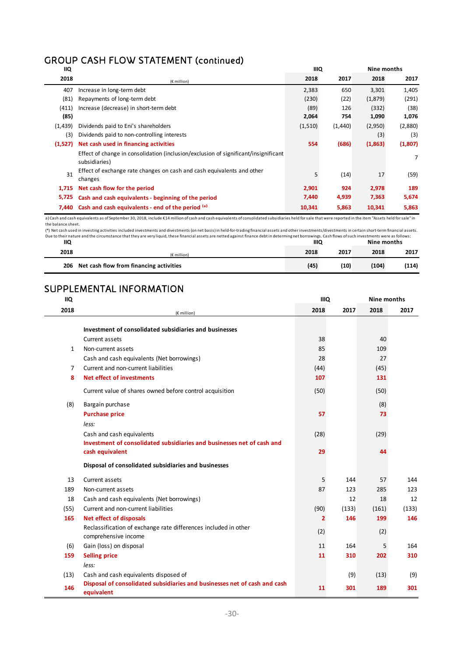# GROUP CASH FLOW STATEMENT (continued)

| <b>IIQ</b> |                                                                                                                                                                                                             | <b>IIIQ</b> |         | Nine months |         |  |  |  |
|------------|-------------------------------------------------------------------------------------------------------------------------------------------------------------------------------------------------------------|-------------|---------|-------------|---------|--|--|--|
| 2018       | (€ million)                                                                                                                                                                                                 | 2018        | 2017    | 2018        | 2017    |  |  |  |
| 407        | Increase in long-term debt                                                                                                                                                                                  | 2,383       | 650     | 3,301       | 1,405   |  |  |  |
| (81)       | Repayments of long-term debt                                                                                                                                                                                | (230)       | (22)    | (1,879)     | (291)   |  |  |  |
| (411)      | Increase (decrease) in short-term debt                                                                                                                                                                      | (89)        | 126     | (332)       | (38)    |  |  |  |
| (85)       |                                                                                                                                                                                                             | 2,064       | 754     | 1,090       | 1,076   |  |  |  |
| (1,439)    | Dividends paid to Eni's shareholders                                                                                                                                                                        | (1,510)     | (1,440) | (2,950)     | (2,880) |  |  |  |
| (3)        | Dividends paid to non-controlling interests                                                                                                                                                                 |             |         | (3)         | (3)     |  |  |  |
| (1,527)    | Net cash used in financing activities                                                                                                                                                                       | 554         | (686)   | (1,863)     | (1,807) |  |  |  |
|            | Effect of change in consolidation (inclusion/exclusion of significant/insignificant<br>subsidiaries)                                                                                                        |             |         |             | 7       |  |  |  |
| 31         | Effect of exchange rate changes on cash and cash equivalents and other<br>changes                                                                                                                           | 5           | (14)    | 17          | (59)    |  |  |  |
| 1,715      | Net cash flow for the period                                                                                                                                                                                | 2,901       | 924     | 2,978       | 189     |  |  |  |
| 5,725      | Cash and cash equivalents - beginning of the period                                                                                                                                                         | 7,440       | 4,939   | 7,363       | 5,674   |  |  |  |
| 7.440      | Cash and cash equivalents - end of the period (a)                                                                                                                                                           | 10,341      | 5,863   | 10,341      | 5,863   |  |  |  |
|            | a) Cash and sach equivalents as of Centember 20, 2018, include £14 million of sach and sach equivalents of consolidated subsidiaries hold for sale that were reported in the item "Assets hold for sale" in |             |         |             |         |  |  |  |

iivalents as of September 30, 2018, include €14 million of cash and cash equivalents of consolidated subsidiaries held for sale that were reported in the item "Assets held for sale" in a) Cash and cash equal the balance sheet.

Due to their nature and the circumstance that they are very liquid, these financial assets are netted against finance debt in determing net borrowings. Cash flows of such investments were as follows:<br>IIQ (\*) Net cash used in investing activities included investments and divestments (on net basis) in held‐for‐trading financial assets and other investments/divestments in certain short‐term financial assets.

| <br>2018 | (€ million)                                 | <br>2018 | 2017 | <br>2018 | 2017  |
|----------|---------------------------------------------|----------|------|----------|-------|
|          | 206 Net cash flow from financing activities | (45)     | (10) | (104)    | (114) |

#### SUPPLEMENTAL INFORMATION **IIQ**

| <b>IIQ</b>     |                                                                                         | <b>IIIQ</b> |       | Nine months |       |
|----------------|-----------------------------------------------------------------------------------------|-------------|-------|-------------|-------|
| 2018           | (€ million)                                                                             | 2018        | 2017  | 2018        | 2017  |
|                | Investment of consolidated subsidiaries and businesses                                  |             |       |             |       |
|                | <b>Current assets</b>                                                                   | 38          |       | 40          |       |
| $\mathbf{1}$   | Non-current assets                                                                      | 85          |       | 109         |       |
|                | Cash and cash equivalents (Net borrowings)                                              | 28          |       | 27          |       |
| $\overline{7}$ | Current and non-current liabilities                                                     | (44)        |       | (45)        |       |
| 8              | Net effect of investments                                                               | 107         |       | 131         |       |
|                | Current value of shares owned before control acquisition                                | (50)        |       | (50)        |       |
| (8)            | Bargain purchase                                                                        |             |       | (8)         |       |
|                | <b>Purchase price</b>                                                                   | 57          |       | 73          |       |
|                | less:                                                                                   |             |       |             |       |
|                | Cash and cash equivalents                                                               | (28)        |       | (29)        |       |
|                | Investment of consolidated subsidiaries and businesses net of cash and                  |             |       |             |       |
|                | cash equivalent                                                                         | 29          |       | 44          |       |
|                | Disposal of consolidated subsidiaries and businesses                                    |             |       |             |       |
| 13             | Current assets                                                                          | 5           | 144   | 57          | 144   |
| 189            | Non-current assets                                                                      | 87          | 123   | 285         | 123   |
| 18             | Cash and cash equivalents (Net borrowings)                                              |             | 12    | 18          | 12    |
| (55)           | Current and non-current liabilities                                                     | (90)        | (133) | (161)       | (133) |
| 165            | <b>Net effect of disposals</b>                                                          | 2           | 146   | 199         | 146   |
|                | Reclassification of exchange rate differences included in other<br>comprehensive income | (2)         |       | (2)         |       |
| (6)            | Gain (loss) on disposal                                                                 | 11          | 164   | 5           | 164   |
| 159            | <b>Selling price</b>                                                                    | 11          | 310   | 202         | 310   |
|                | less:                                                                                   |             |       |             |       |
| (13)           | Cash and cash equivalents disposed of                                                   |             | (9)   | (13)        | (9)   |
| 146            | Disposal of consolidated subsidiaries and businesses net of cash and cash<br>equivalent | 11          | 301   | 189         | 301   |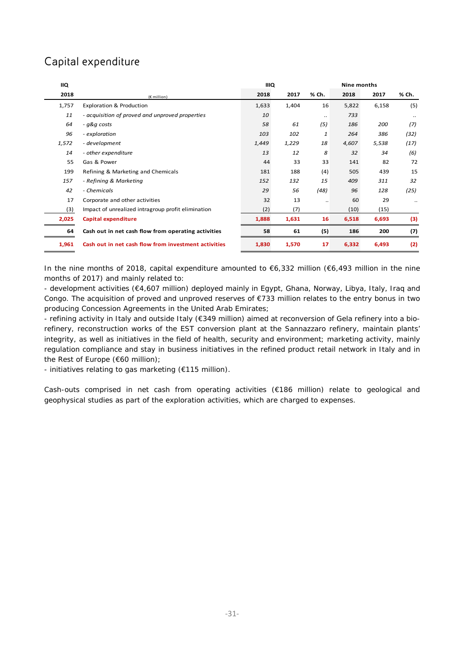# Capital expenditure

| IIQ   |                                                      | <b>IIIQ</b> |       |       | Nine months |       |           |
|-------|------------------------------------------------------|-------------|-------|-------|-------------|-------|-----------|
| 2018  | (€ million)                                          | 2018        | 2017  | % Ch. | 2018        | 2017  | % Ch.     |
| 1,757 | <b>Exploration &amp; Production</b>                  | 1,633       | 1,404 | 16    | 5,822       | 6,158 | (5)       |
| 11    | - acquisition of proved and unproved properties      | 10          |       |       | 733         |       |           |
| 64    | - q&q costs                                          | 58          | 61    | (5)   | 186         | 200   | (7)       |
| 96    | - exploration                                        | 103         | 102   | 1     | 264         | 386   | (32)      |
| 1,572 | - development                                        | 1,449       | 1,229 | 18    | 4,607       | 5,538 | (17)      |
| 14    | - other expenditure                                  | 13          | 12    | 8     | 32          | 34    | (6)       |
| 55    | Gas & Power                                          | 44          | 33    | 33    | 141         | 82    | 72        |
| 199   | Refining & Marketing and Chemicals                   | 181         | 188   | (4)   | 505         | 439   | 15        |
| 157   | - Refining & Marketing                               | 152         | 132   | 15    | 409         | 311   | 32        |
| 42    | - Chemicals                                          | 29          | 56    | (48)  | 96          | 128   | (25)      |
| 17    | Corporate and other activities                       | 32          | 13    |       | 60          | 29    | $\ddotsc$ |
| (3)   | Impact of unrealized intragroup profit elimination   | (2)         | (7)   |       | (10)        | (15)  |           |
| 2,025 | Capital expenditure                                  | 1,888       | 1,631 | 16    | 6,518       | 6,693 | (3)       |
| 64    | Cash out in net cash flow from operating activities  | 58          | 61    | (5)   | 186         | 200   | (7)       |
| 1,961 | Cash out in net cash flow from investment activities | 1,830       | 1,570 | 17    | 6,332       | 6,493 | (2)       |

In the nine months of 2018, capital expenditure amounted to €6,332 million (€6,493 million in the nine months of 2017) and mainly related to:

- development activities (€4,607 million) deployed mainly in Egypt, Ghana, Norway, Libya, Italy, Iraq and Congo. The acquisition of proved and unproved reserves of €733 million relates to the entry bonus in two producing Concession Agreements in the United Arab Emirates;

- refining activity in Italy and outside Italy (€349 million) aimed at reconversion of Gela refinery into a biorefinery, reconstruction works of the EST conversion plant at the Sannazzaro refinery, maintain plants' integrity, as well as initiatives in the field of health, security and environment; marketing activity, mainly regulation compliance and stay in business initiatives in the refined product retail network in Italy and in the Rest of Europe (€60 million);

- initiatives relating to gas marketing (€115 million).

Cash-outs comprised in net cash from operating activities (€186 million) relate to geological and geophysical studies as part of the exploration activities, which are charged to expenses.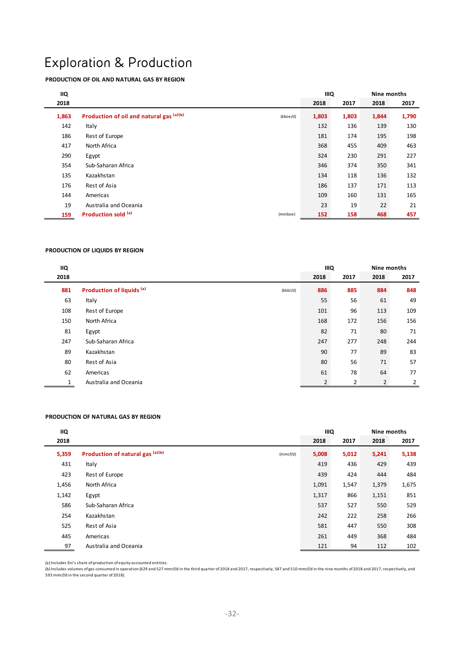# Exploration & Production

### **PRODUCTION OF OIL AND NATURAL GAS BY REGION**

| <b>IIQ</b> |                                          |          | <b>IIIQ</b> | Nine months |       |       |
|------------|------------------------------------------|----------|-------------|-------------|-------|-------|
| 2018       |                                          |          | 2018        | 2017        | 2018  | 2017  |
| 1,863      | Production of oil and natural gas (a)(b) | (kboe/d) | 1,803       | 1,803       | 1,844 | 1,790 |
| 142        | Italy                                    |          | 132         | 136         | 139   | 130   |
| 186        | Rest of Europe                           |          | 181         | 174         | 195   | 198   |
| 417        | North Africa                             |          | 368         | 455         | 409   | 463   |
| 290        | Egypt                                    |          | 324         | 230         | 291   | 227   |
| 354        | Sub-Saharan Africa                       |          | 346         | 374         | 350   | 341   |
| 135        | Kazakhstan                               |          | 134         | 118         | 136   | 132   |
| 176        | Rest of Asia                             |          | 186         | 137         | 171   | 113   |
| 144        | Americas                                 |          | 109         | 160         | 131   | 165   |
| 19         | Australia and Oceania                    |          | 23          | 19          | 22    | 21    |
| 159        | Production sold (a)                      | (mmboe)  | 152         | 158         | 468   | 457   |

#### **PRODUCTION OF LIQUIDS BY REGION**

| IIQ  |                                                  |      | <b>IIIQ</b> |                | Nine months |  |
|------|--------------------------------------------------|------|-------------|----------------|-------------|--|
| 2018 |                                                  | 2018 | 2017        | 2018           | 2017        |  |
| 881  | Production of liquids <sup>(a)</sup><br>(kbbI/d) | 886  | 885         | 884            | 848         |  |
| 63   | Italy                                            | 55   | 56          | 61             | 49          |  |
| 108  | Rest of Europe                                   | 101  | 96          | 113            | 109         |  |
| 150  | North Africa                                     | 168  | 172         | 156            | 156         |  |
| 81   | Egypt                                            | 82   | 71          | 80             | 71          |  |
| 247  | Sub-Saharan Africa                               | 247  | 277         | 248            | 244         |  |
| 89   | Kazakhstan                                       | 90   | 77          | 89             | 83          |  |
| 80   | Rest of Asia                                     | 80   | 56          | 71             | 57          |  |
| 62   | Americas                                         | 61   | 78          | 64             | 77          |  |
|      | Australia and Oceania                            | 2    | 2           | $\overline{2}$ | 2           |  |

#### **PRODUCTION OF NATURAL GAS BY REGION**

| <b>IIQ</b> |                                              | <b>IIIQ</b> |       | Nine months |       |
|------------|----------------------------------------------|-------------|-------|-------------|-------|
| 2018       |                                              | 2018        | 2017  | 2018        | 2017  |
| 5,359      | Production of natural gas (a)(b)<br>(mmcf/d) | 5,008       | 5,012 | 5,241       | 5,138 |
| 431        | Italy                                        | 419         | 436   | 429         | 439   |
| 423        | Rest of Europe                               | 439         | 424   | 444         | 484   |
| 1,456      | North Africa                                 | 1,091       | 1,547 | 1,379       | 1,675 |
| 1,142      | Egypt                                        | 1,317       | 866   | 1,151       | 851   |
| 586        | Sub-Saharan Africa                           | 537         | 527   | 550         | 529   |
| 254        | Kazakhstan                                   | 242         | 222   | 258         | 266   |
| 525        | Rest of Asia                                 | 581         | 447   | 550         | 308   |
| 445        | Americas                                     | 261         | 449   | 368         | 484   |
| 97         | Australia and Oceania                        | 121         | 94    | 112         | 102   |

(a) Includes Eni's share of production of equity‐accounted entities.

(b) Includes volumes ofgas consumed in operation (629 and 527 mmcf/d in the third quarter of 2018 and 2017, respectively, 587 and 510 mmcf/d in the nine months of 2018 and 2017, respectively, and<br>593 mmcf/d in the second q